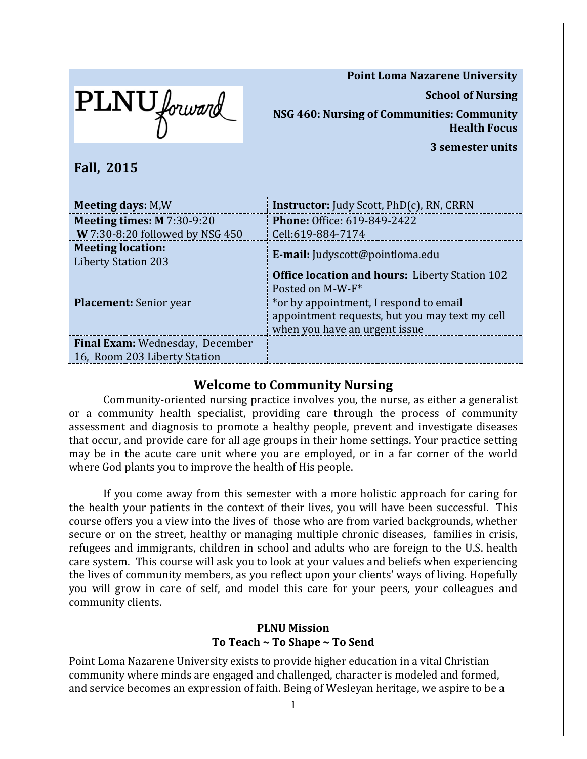**Point Loma Nazarene University**



PLNU forward

**NSG 460: Nursing of Communities: Community Health Focus**

**3 semester units**

**Fall, 2015**

| <b>Meeting days: M,W</b>                                               | <b>Instructor:</b> Judy Scott, PhD(c), RN, CRRN                                                                                                                                                        |
|------------------------------------------------------------------------|--------------------------------------------------------------------------------------------------------------------------------------------------------------------------------------------------------|
| Meeting times: $M$ 7:30-9:20                                           | <b>Phone: Office: 619-849-2422</b>                                                                                                                                                                     |
| W 7:30-8:20 followed by NSG 450                                        | Cell:619-884-7174                                                                                                                                                                                      |
| <b>Meeting location:</b><br><b>Liberty Station 203</b>                 | <b>E-mail:</b> Judyscott@pointloma.edu                                                                                                                                                                 |
| <b>Placement:</b> Senior year                                          | <b>Office location and hours:</b> Liberty Station 102<br>Posted on M-W-F*<br>*or by appointment, I respond to email<br>appointment requests, but you may text my cell<br>when you have an urgent issue |
| <b>Final Exam:</b> Wednesday, December<br>16, Room 203 Liberty Station |                                                                                                                                                                                                        |

# **Welcome to Community Nursing**

Community-oriented nursing practice involves you, the nurse, as either a generalist or a community health specialist, providing care through the process of community assessment and diagnosis to promote a healthy people, prevent and investigate diseases that occur, and provide care for all age groups in their home settings. Your practice setting may be in the acute care unit where you are employed, or in a far corner of the world where God plants you to improve the health of His people.

If you come away from this semester with a more holistic approach for caring for the health your patients in the context of their lives, you will have been successful. This course offers you a view into the lives of those who are from varied backgrounds, whether secure or on the street, healthy or managing multiple chronic diseases, families in crisis, refugees and immigrants, children in school and adults who are foreign to the U.S. health care system. This course will ask you to look at your values and beliefs when experiencing the lives of community members, as you reflect upon your clients' ways of living. Hopefully you will grow in care of self, and model this care for your peers, your colleagues and community clients.

# **PLNU Mission To Teach ~ To Shape ~ To Send**

Point Loma Nazarene University exists to provide higher education in a vital Christian community where minds are engaged and challenged, character is modeled and formed, and service becomes an expression of faith. Being of Wesleyan heritage, we aspire to be a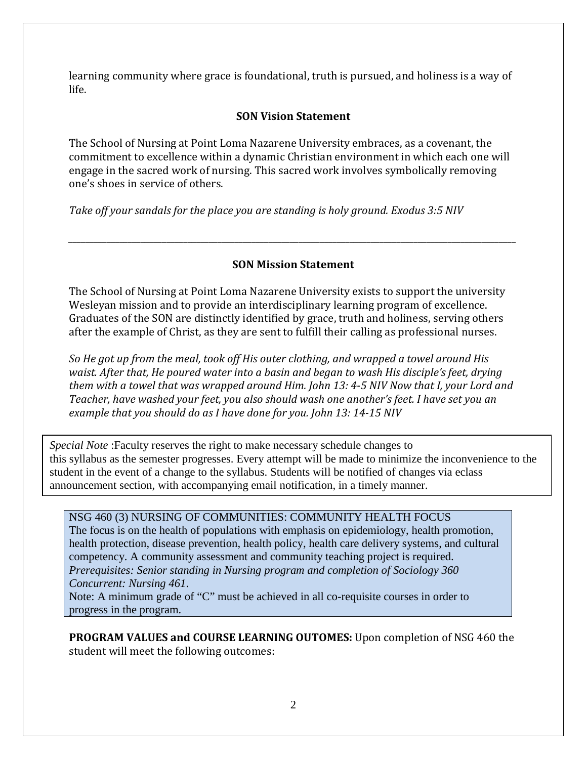learning community where grace is foundational, truth is pursued, and holiness is a way of life.

#### **SON Vision Statement**

The School of Nursing at Point Loma Nazarene University embraces, as a covenant, the commitment to excellence within a dynamic Christian environment in which each one will engage in the sacred work of nursing. This sacred work involves symbolically removing one's shoes in service of others.

*Take off your sandals for the place you are standing is holy ground. Exodus 3:5 NIV* 

#### **SON Mission Statement**

*\_\_\_\_\_\_\_\_\_\_\_\_\_\_\_\_\_\_\_\_\_\_\_\_\_\_\_\_\_\_\_\_\_\_\_\_\_\_\_\_\_\_\_\_\_\_\_\_\_\_\_\_\_\_\_\_\_\_\_\_\_\_\_\_\_\_\_\_\_\_\_\_\_\_\_\_\_\_\_\_\_\_\_\_\_\_\_\_\_\_\_\_\_\_\_\_\_\_\_\_\_\_\_\_\_*

The School of Nursing at Point Loma Nazarene University exists to support the university Wesleyan mission and to provide an interdisciplinary learning program of excellence. Graduates of the SON are distinctly identified by grace, truth and holiness, serving others after the example of Christ, as they are sent to fulfill their calling as professional nurses.

*So He got up from the meal, took off His outer clothing, and wrapped a towel around His waist. After that, He poured water into a basin and began to wash His disciple's feet, drying them with a towel that was wrapped around Him. John 13: 4-5 NIV Now that I, your Lord and Teacher, have washed your feet, you also should wash one another's feet. I have set you an example that you should do as I have done for you. John 13: 14-15 NIV* 

*Special Note* :Faculty reserves the right to make necessary schedule changes to this syllabus as the semester progresses. Every attempt will be made to minimize the inconvenience to the student in the event of a change to the syllabus. Students will be notified of changes via eclass announcement section, with accompanying email notification, in a timely manner.

#### NSG 460 (3) NURSING OF COMMUNITIES: COMMUNITY HEALTH FOCUS

The focus is on the health of populations with emphasis on epidemiology, health promotion, health protection, disease prevention, health policy, health care delivery systems, and cultural competency. A community assessment and community teaching project is required. *Prerequisites: Senior standing in Nursing program and completion of Sociology 360 Concurrent: Nursing 461*.

Note: A minimum grade of "C" must be achieved in all co-requisite courses in order to progress in the program.

**PROGRAM VALUES and COURSE LEARNING OUTOMES:** Upon completion of NSG 460 the student will meet the following outcomes: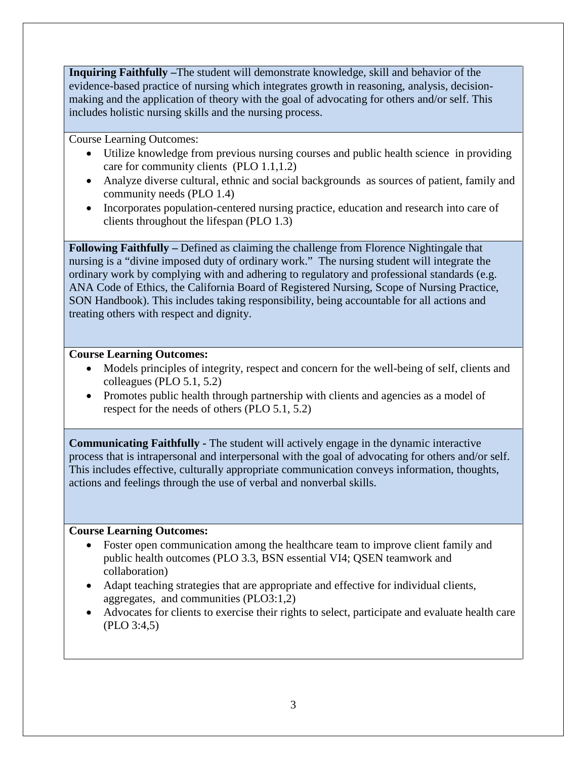**Inquiring Faithfully –**The student will demonstrate knowledge, skill and behavior of the evidence-based practice of nursing which integrates growth in reasoning, analysis, decisionmaking and the application of theory with the goal of advocating for others and/or self. This includes holistic nursing skills and the nursing process.

Course Learning Outcomes:

- Utilize knowledge from previous nursing courses and public health science in providing care for community clients (PLO 1.1,1.2)
- Analyze diverse cultural, ethnic and social backgrounds as sources of patient, family and community needs (PLO 1.4)
- Incorporates population-centered nursing practice, education and research into care of clients throughout the lifespan (PLO 1.3)

**Following Faithfully –** Defined as claiming the challenge from Florence Nightingale that nursing is a "divine imposed duty of ordinary work." The nursing student will integrate the ordinary work by complying with and adhering to regulatory and professional standards (e.g. ANA Code of Ethics, the California Board of Registered Nursing, Scope of Nursing Practice, SON Handbook). This includes taking responsibility, being accountable for all actions and treating others with respect and dignity.

#### **Course Learning Outcomes:**

- Models principles of integrity, respect and concern for the well-being of self, clients and colleagues (PLO 5.1, 5.2)
- Promotes public health through partnership with clients and agencies as a model of respect for the needs of others (PLO 5.1, 5.2)

**Communicating Faithfully -** The student will actively engage in the dynamic interactive process that is intrapersonal and interpersonal with the goal of advocating for others and/or self. This includes effective, culturally appropriate communication conveys information, thoughts, actions and feelings through the use of verbal and nonverbal skills.

#### **Course Learning Outcomes:**

- Foster open communication among the healthcare team to improve client family and public health outcomes (PLO 3.3, BSN essential VI4; QSEN teamwork and collaboration)
- Adapt teaching strategies that are appropriate and effective for individual clients, aggregates, and communities (PLO3:1,2)
- Advocates for clients to exercise their rights to select, participate and evaluate health care (PLO 3:4,5)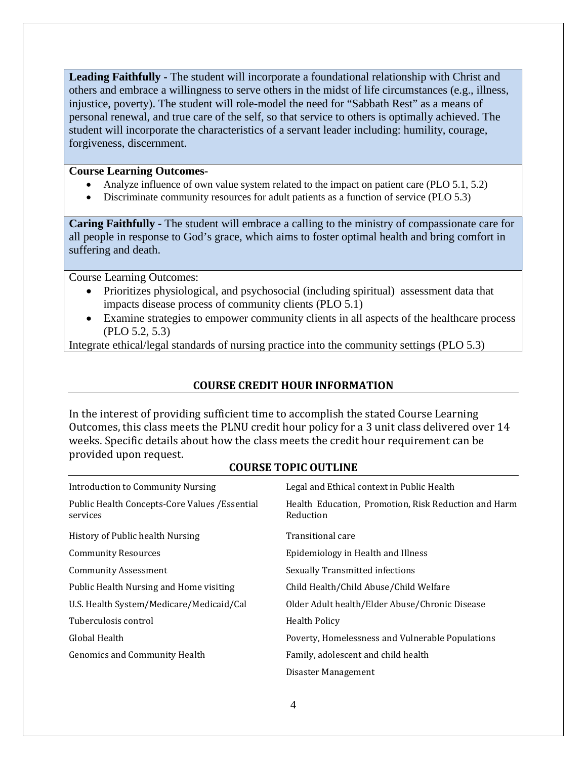**Leading Faithfully -** The student will incorporate a foundational relationship with Christ and others and embrace a willingness to serve others in the midst of life circumstances (e.g., illness, injustice, poverty). The student will role-model the need for "Sabbath Rest" as a means of personal renewal, and true care of the self, so that service to others is optimally achieved. The student will incorporate the characteristics of a servant leader including: humility, courage, forgiveness, discernment.

#### **Course Learning Outcomes-**

- Analyze influence of own value system related to the impact on patient care (PLO 5.1, 5.2)
- Discriminate community resources for adult patients as a function of service (PLO 5.3)

**Caring Faithfully -** The student will embrace a calling to the ministry of compassionate care for all people in response to God's grace, which aims to foster optimal health and bring comfort in suffering and death.

Course Learning Outcomes:

- Prioritizes physiological, and psychosocial (including spiritual) assessment data that impacts disease process of community clients (PLO 5.1)
- Examine strategies to empower community clients in all aspects of the healthcare process (PLO 5.2, 5.3)

Integrate ethical/legal standards of nursing practice into the community settings (PLO 5.3)

# **COURSE CREDIT HOUR INFORMATION**

In the interest of providing sufficient time to accomplish the stated Course Learning Outcomes, this class meets the PLNU credit hour policy for a 3 unit class delivered over 14 weeks. Specific details about how the class meets the credit hour requirement can be provided upon request.

#### **COURSE TOPIC OUTLINE**

| <b>Introduction to Community Nursing</b>                   | Legal and Ethical context in Public Health                        |
|------------------------------------------------------------|-------------------------------------------------------------------|
| Public Health Concepts-Core Values / Essential<br>services | Health Education, Promotion, Risk Reduction and Harm<br>Reduction |
| History of Public health Nursing                           | Transitional care                                                 |
| <b>Community Resources</b>                                 | Epidemiology in Health and Illness                                |
| <b>Community Assessment</b>                                | Sexually Transmitted infections                                   |
| Public Health Nursing and Home visiting                    | Child Health/Child Abuse/Child Welfare                            |
| U.S. Health System/Medicare/Medicaid/Cal                   | Older Adult health/Elder Abuse/Chronic Disease                    |
| Tuberculosis control                                       | <b>Health Policy</b>                                              |
| Global Health                                              | Poverty, Homelessness and Vulnerable Populations                  |
| Genomics and Community Health                              | Family, adolescent and child health                               |
|                                                            | Disaster Management                                               |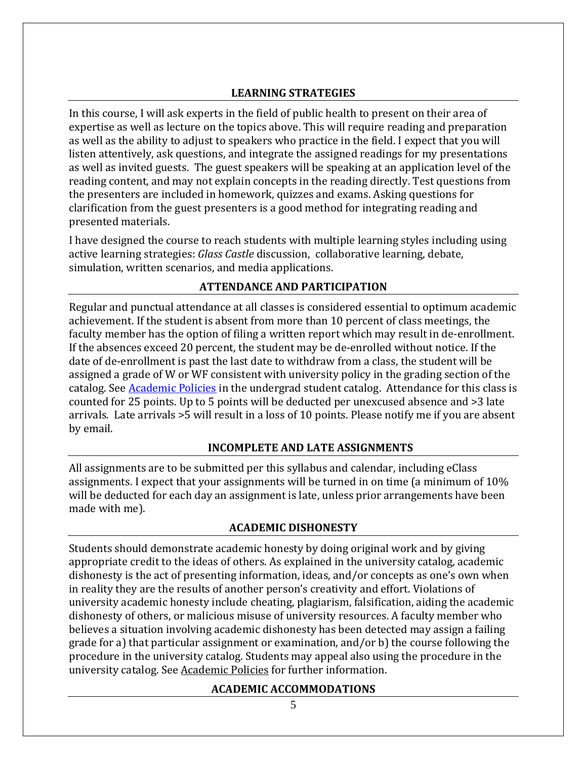#### **LEARNING STRATEGIES**

In this course, I will ask experts in the field of public health to present on their area of expertise as well as lecture on the topics above. This will require reading and preparation as well as the ability to adjust to speakers who practice in the field. I expect that you will listen attentively, ask questions, and integrate the assigned readings for my presentations as well as invited guests. The guest speakers will be speaking at an application level of the reading content, and may not explain concepts in the reading directly. Test questions from the presenters are included in homework, quizzes and exams. Asking questions for clarification from the guest presenters is a good method for integrating reading and presented materials.

I have designed the course to reach students with multiple learning styles including using active learning strategies: *Glass Castle* discussion, collaborative learning, debate, simulation, written scenarios, and media applications.

# **ATTENDANCE AND PARTICIPATION**

Regular and punctual attendance at all classes is considered essential to optimum academic achievement. If the student is absent from more than 10 percent of class meetings, the faculty member has the option of filing a written report which may result in de-enrollment. If the absences exceed 20 percent, the student may be de-enrolled without notice. If the date of de-enrollment is past the last date to withdraw from a class, the student will be assigned a grade of W or WF consistent with university policy in the grading section of the catalog. See **Academic Policies** in the undergrad student catalog. Attendance for this class is counted for 25 points. Up to 5 points will be deducted per unexcused absence and >3 late arrivals. Late arrivals >5 will result in a loss of 10 points. Please notify me if you are absent by email.

#### **INCOMPLETE AND LATE ASSIGNMENTS**

All assignments are to be submitted per this syllabus and calendar, including eClass assignments. I expect that your assignments will be turned in on time (a minimum of 10% will be deducted for each day an assignment is late, unless prior arrangements have been made with me).

#### **ACADEMIC DISHONESTY**

Students should demonstrate academic honesty by doing original work and by giving appropriate credit to the ideas of others. As explained in the university catalog, academic dishonesty is the act of presenting information, ideas, and/or concepts as one's own when in reality they are the results of another person's creativity and effort. Violations of university academic honesty include cheating, plagiarism, falsification, aiding the academic dishonesty of others, or malicious misuse of university resources. A faculty member who believes a situation involving academic dishonesty has been detected may assign a failing grade for a) that particular assignment or examination, and/or b) the course following the procedure in the university catalog. Students may appeal also using the procedure in the university catalog. See [Academic Policies](http://www.pointloma.edu/experience/academics/catalogs/undergraduate-catalog/point-loma-education/academic-policies) for further information.

#### **ACADEMIC ACCOMMODATIONS**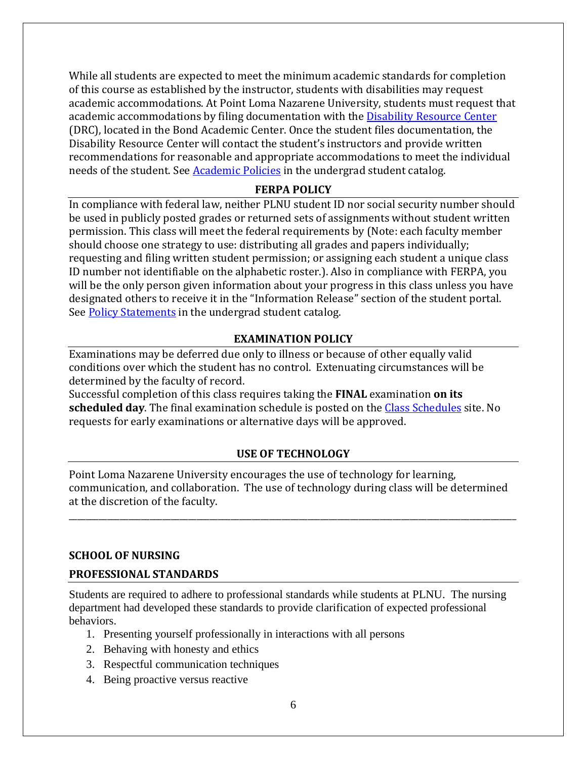While all students are expected to meet the minimum academic standards for completion of this course as established by the instructor, students with disabilities may request academic accommodations. At Point Loma Nazarene University, students must request that academic accommodations by filing documentation with the [Disability Resource Center](http://www.pointloma.edu/experience/offices/administrative-offices/academic-advising-office/disability-resource-center) (DRC), located in the Bond Academic Center. Once the student files documentation, the Disability Resource Center will contact the student's instructors and provide written recommendations for reasonable and appropriate accommodations to meet the individual needs of the student. See **Academic Policies** in the undergrad student catalog.

#### **FERPA POLICY**

In compliance with federal law, neither PLNU student ID nor social security number should be used in publicly posted grades or returned sets of assignments without student written permission. This class will meet the federal requirements by (Note: each faculty member should choose one strategy to use: distributing all grades and papers individually; requesting and filing written student permission; or assigning each student a unique class ID number not identifiable on the alphabetic roster.). Also in compliance with FERPA, you will be the only person given information about your progress in this class unless you have designated others to receive it in the "Information Release" section of the student portal. See [Policy Statements](http://www.pointloma.edu/experience/academics/catalogs/undergraduate-catalog/policy-statements) in the undergrad student catalog.

#### **EXAMINATION POLICY**

Examinations may be deferred due only to illness or because of other equally valid conditions over which the student has no control. Extenuating circumstances will be determined by the faculty of record.

Successful completion of this class requires taking the **FINAL** examination **on its scheduled day**. The final examination schedule is posted on the [Class Schedules](http://www.pointloma.edu/experience/academics/class-schedules) site. No requests for early examinations or alternative days will be approved.

# **USE OF TECHNOLOGY**

Point Loma Nazarene University encourages the use of technology for learning, communication, and collaboration. The use of technology during class will be determined at the discretion of the faculty.

\_\_\_\_\_\_\_\_\_\_\_\_\_\_\_\_\_\_\_\_\_\_\_\_\_\_\_\_\_\_\_\_\_\_\_\_\_\_\_\_\_\_\_\_\_\_\_\_\_\_\_\_\_\_\_\_\_\_\_\_\_\_\_\_\_\_\_\_\_\_\_\_\_\_\_\_\_\_\_\_\_\_\_\_\_\_\_\_\_\_\_\_\_\_\_\_\_\_\_\_\_\_\_\_\_

#### **SCHOOL OF NURSING**

#### **PROFESSIONAL STANDARDS**

Students are required to adhere to professional standards while students at PLNU. The nursing department had developed these standards to provide clarification of expected professional behaviors.

- 1. Presenting yourself professionally in interactions with all persons
- 2. Behaving with honesty and ethics
- 3. Respectful communication techniques
- 4. Being proactive versus reactive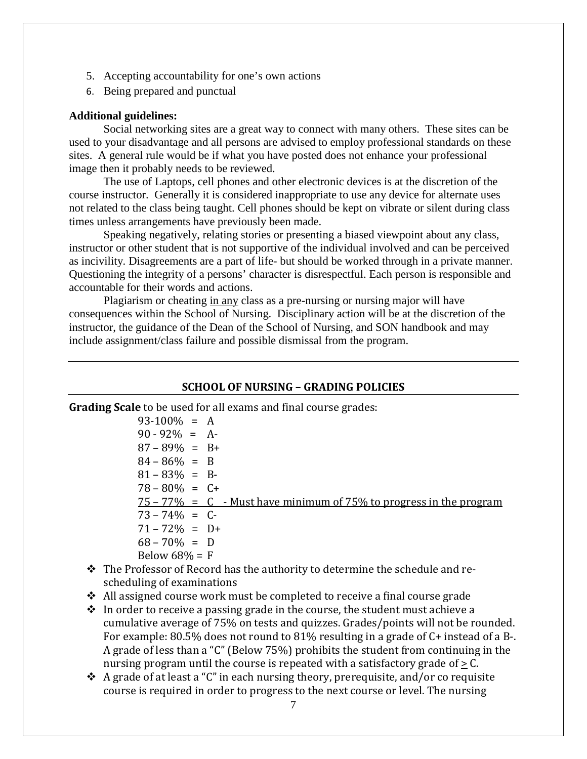- 5. Accepting accountability for one's own actions
- 6. Being prepared and punctual

#### **Additional guidelines:**

Social networking sites are a great way to connect with many others. These sites can be used to your disadvantage and all persons are advised to employ professional standards on these sites. A general rule would be if what you have posted does not enhance your professional image then it probably needs to be reviewed.

The use of Laptops, cell phones and other electronic devices is at the discretion of the course instructor. Generally it is considered inappropriate to use any device for alternate uses not related to the class being taught. Cell phones should be kept on vibrate or silent during class times unless arrangements have previously been made.

Speaking negatively, relating stories or presenting a biased viewpoint about any class, instructor or other student that is not supportive of the individual involved and can be perceived as incivility. Disagreements are a part of life- but should be worked through in a private manner. Questioning the integrity of a persons' character is disrespectful. Each person is responsible and accountable for their words and actions.

Plagiarism or cheating in any class as a pre-nursing or nursing major will have consequences within the School of Nursing. Disciplinary action will be at the discretion of the instructor, the guidance of the Dean of the School of Nursing, and SON handbook and may include assignment/class failure and possible dismissal from the program.

#### **SCHOOL OF NURSING – GRADING POLICIES**

**Grading Scale** to be used for all exams and final course grades:

 $93-100\% = A$  $90 - 92\% = A$  $87 - 89\% = B +$  $84 - 86\% = B$  $81 - 83\% = B$  $78 - 80\% = C +$  $75 - 77\% = C$  - Must have minimum of 75% to progress in the program  $73 - 74\% = C$  $71 - 72\% = D +$  $68 - 70\% = D$ Below  $68\% = F$ 

- \* The Professor of Record has the authority to determine the schedule and rescheduling of examinations
- $\triangle$  All assigned course work must be completed to receive a final course grade
- $\cdot \cdot$  In order to receive a passing grade in the course, the student must achieve a cumulative average of 75% on tests and quizzes. Grades/points will not be rounded. For example: 80.5% does not round to 81% resulting in a grade of C+ instead of a B-. A grade of less than a "C" (Below 75%) prohibits the student from continuing in the nursing program until the course is repeated with a satisfactory grade of  $\geq$  C.
- $\triangle$  A grade of at least a "C" in each nursing theory, prerequisite, and/or co requisite course is required in order to progress to the next course or level. The nursing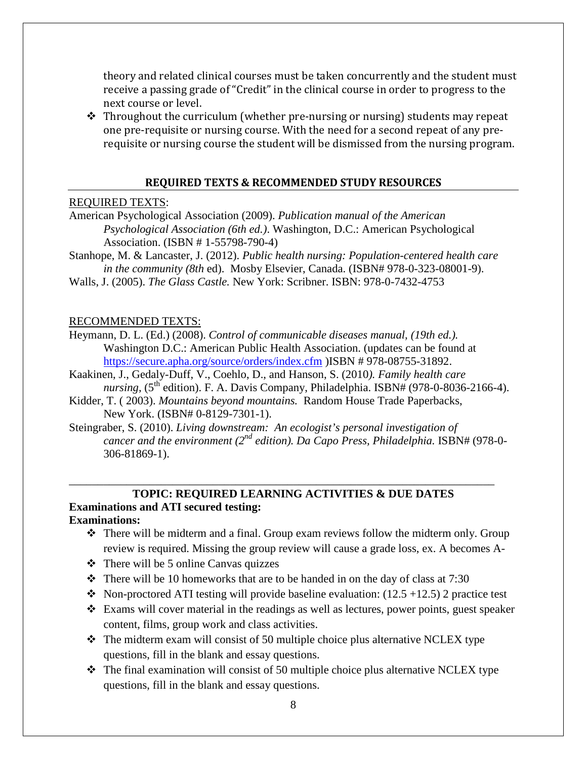theory and related clinical courses must be taken concurrently and the student must receive a passing grade of "Credit" in the clinical course in order to progress to the next course or level.

 $\triangle$  Throughout the curriculum (whether pre-nursing or nursing) students may repeat one pre-requisite or nursing course. With the need for a second repeat of any prerequisite or nursing course the student will be dismissed from the nursing program.

#### **REQUIRED TEXTS & RECOMMENDED STUDY RESOURCES**

#### REQUIRED TEXTS:

- American Psychological Association (2009). *Publication manual of the American Psychological Association (6th ed.)*. Washington, D.C.: American Psychological Association. (ISBN # 1-55798-790-4)
- Stanhope, M. & Lancaster, J. (2012). *Public health nursing: Population-centered health care in the community (8th* ed). Mosby Elsevier, Canada. (ISBN# 978-0-323-08001-9).
- Walls, J. (2005). *The Glass Castle.* New York: Scribner. ISBN: 978-0-7432-4753

#### RECOMMENDED TEXTS:

- Heymann, D. L. (Ed.) (2008). *Control of communicable diseases manual, (19th ed.).* Washington D.C.: American Public Health Association. (updates can be found at <https://secure.apha.org/source/orders/index.cfm> )ISBN # 978-08755-31892.
- Kaakinen, J., Gedaly-Duff, V., Coehlo, D., and Hanson, S. (2010*). Family health care nursing,*  $(5^{th}$  edition). F. A. Davis Company, Philadelphia. ISBN#  $(978-0-8036-2166-4)$ .
- Kidder, T. ( 2003). *Mountains beyond mountains.* Random House Trade Paperbacks, New York. (ISBN# 0-8129-7301-1).
- Steingraber, S. (2010). *Living downstream: An ecologist's personal investigation of cancer and the environment (2<sup>nd</sup> edition). Da Capo Press, Philadelphia.* ISBN# (978-0-306-81869-1).

\_\_\_\_\_\_\_\_\_\_\_\_\_\_\_\_\_\_\_\_\_\_\_\_\_\_\_\_\_\_\_\_\_\_\_\_\_\_\_\_\_\_\_\_\_\_\_\_\_\_\_\_\_\_\_\_\_\_\_\_\_\_\_\_\_\_\_\_\_\_\_\_\_\_

# **TOPIC: REQUIRED LEARNING ACTIVITIES & DUE DATES Examinations and ATI secured testing:**

#### **Examinations:**

- There will be midterm and a final. Group exam reviews follow the midterm only. Group review is required. Missing the group review will cause a grade loss, ex. A becomes A-
- $\triangleleft$  There will be 5 online Canvas quizzes
- $\div$  There will be 10 homeworks that are to be handed in on the day of class at 7:30
- $\bullet$  Non-proctored ATI testing will provide baseline evaluation: (12.5 +12.5) 2 practice test
- Exams will cover material in the readings as well as lectures, power points, guest speaker content, films, group work and class activities.
- $\triangle$  The midterm exam will consist of 50 multiple choice plus alternative NCLEX type questions, fill in the blank and essay questions.
- $\cdot \cdot$  The final examination will consist of 50 multiple choice plus alternative NCLEX type questions, fill in the blank and essay questions.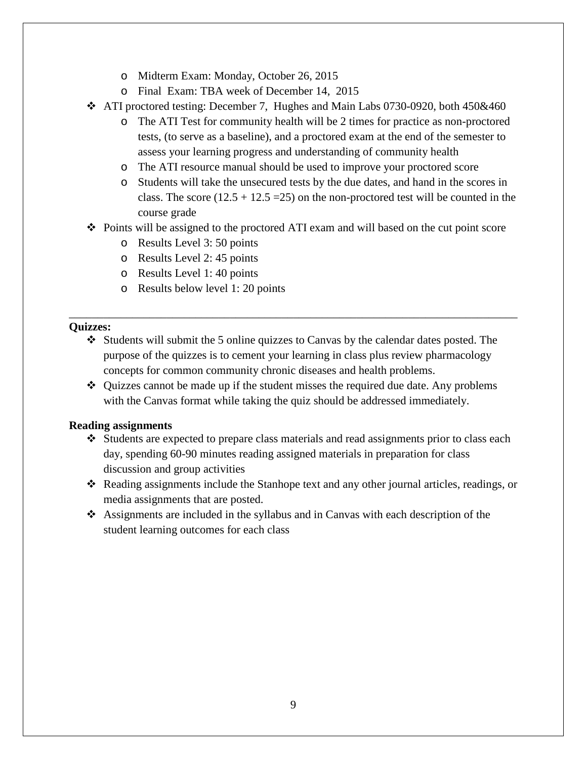- o Midterm Exam: Monday, October 26, 2015
- o Final Exam: TBA week of December 14, 2015
- $\div$  ATI proctored testing: December 7, Hughes and Main Labs 0730-0920, both 450&460
	- o The ATI Test for community health will be 2 times for practice as non-proctored tests, (to serve as a baseline), and a proctored exam at the end of the semester to assess your learning progress and understanding of community health
	- o The ATI resource manual should be used to improve your proctored score
	- o Students will take the unsecured tests by the due dates, and hand in the scores in class. The score  $(12.5 + 12.5 = 25)$  on the non-proctored test will be counted in the course grade
- $\div$  Points will be assigned to the proctored ATI exam and will based on the cut point score
	- o Results Level 3: 50 points
	- o Results Level 2: 45 points
	- o Results Level 1: 40 points
	- o Results below level 1: 20 points

#### **Quizzes:**

 $\div$  Students will submit the 5 online quizzes to Canvas by the calendar dates posted. The purpose of the quizzes is to cement your learning in class plus review pharmacology concepts for common community chronic diseases and health problems.

\_\_\_\_\_\_\_\_\_\_\_\_\_\_\_\_\_\_\_\_\_\_\_\_\_\_\_\_\_\_\_\_\_\_\_\_\_\_\_\_\_\_\_\_\_\_\_\_\_\_\_\_\_\_\_\_\_\_\_\_\_\_\_\_\_\_\_\_\_\_\_\_\_\_\_\_\_\_

 $\div$  Quizzes cannot be made up if the student misses the required due date. Any problems with the Canvas format while taking the quiz should be addressed immediately.

#### **Reading assignments**

- $\div$  Students are expected to prepare class materials and read assignments prior to class each day, spending 60-90 minutes reading assigned materials in preparation for class discussion and group activities
- Reading assignments include the Stanhope text and any other journal articles, readings, or media assignments that are posted.
- Assignments are included in the syllabus and in Canvas with each description of the student learning outcomes for each class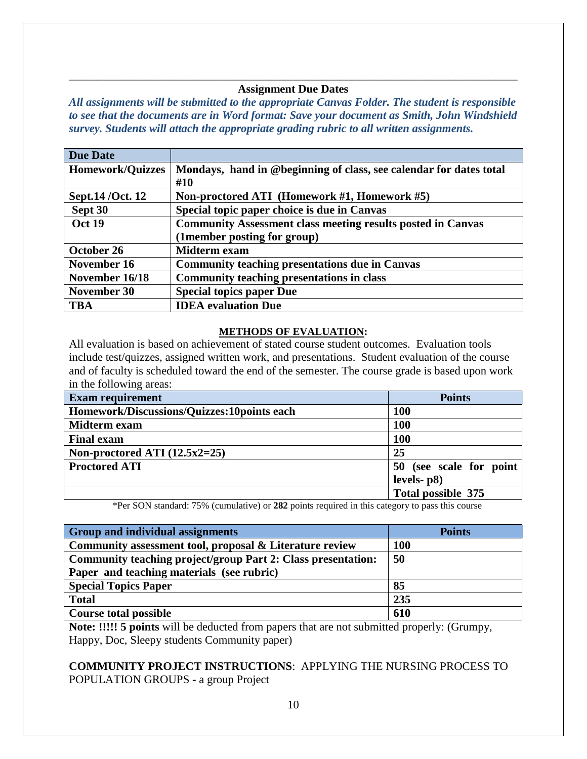#### \_\_\_\_\_\_\_\_\_\_\_\_\_\_\_\_\_\_\_\_\_\_\_\_\_\_\_\_\_\_\_\_\_\_\_\_\_\_\_\_\_\_\_\_\_\_\_\_\_\_\_\_\_\_\_\_\_\_\_\_\_\_\_\_\_\_\_\_\_\_\_\_\_\_\_\_\_\_ **Assignment Due Dates**

*All assignments will be submitted to the appropriate Canvas Folder. The student is responsible to see that the documents are in Word format: Save your document as Smith, John Windshield survey. Students will attach the appropriate grading rubric to all written assignments.* 

| <b>Due Date</b>         |                                                                           |
|-------------------------|---------------------------------------------------------------------------|
| <b>Homework/Quizzes</b> | Mondays, hand in @beginning of class, see calendar for dates total<br>#10 |
| Sept.14 / Oct. 12       | Non-proctored ATI (Homework #1, Homework #5)                              |
| Sept 30                 | Special topic paper choice is due in Canvas                               |
| <b>Oct 19</b>           | <b>Community Assessment class meeting results posted in Canvas</b>        |
|                         | (1 member posting for group)                                              |
| October 26              | Midterm exam                                                              |
| November 16             | <b>Community teaching presentations due in Canvas</b>                     |
| November 16/18          | <b>Community teaching presentations in class</b>                          |
| November 30             | <b>Special topics paper Due</b>                                           |
| <b>TBA</b>              | <b>IDEA</b> evaluation Due                                                |

#### **METHODS OF EVALUATION:**

All evaluation is based on achievement of stated course student outcomes. Evaluation tools include test/quizzes, assigned written work, and presentations. Student evaluation of the course and of faculty is scheduled toward the end of the semester. The course grade is based upon work in the following areas:

| <b>Exam requirement</b>                    | <b>Points</b>           |
|--------------------------------------------|-------------------------|
| Homework/Discussions/Quizzes:10points each | <b>100</b>              |
| <b>Midterm</b> exam                        | <b>100</b>              |
| <b>Final exam</b>                          | <b>100</b>              |
| Non-proctored ATI $(12.5x2=25)$            | 25                      |
| <b>Proctored ATI</b>                       | 50 (see scale for point |
|                                            | $levels-p8)$            |
|                                            | Total possible 375      |

\*Per SON standard: 75% (cumulative) or **282** points required in this category to pass this course

| <b>Group and individual assignments</b>                      | <b>Points</b> |
|--------------------------------------------------------------|---------------|
| Community assessment tool, proposal & Literature review      | <b>100</b>    |
| Community teaching project/group Part 2: Class presentation: | 50            |
| Paper and teaching materials (see rubric)                    |               |
| <b>Special Topics Paper</b>                                  | 85            |
| <b>Total</b>                                                 | 235           |
| <b>Course total possible</b>                                 | 610           |

**Note: !!!!! 5 points** will be deducted from papers that are not submitted properly: (Grumpy, Happy, Doc, Sleepy students Community paper)

#### **COMMUNITY PROJECT INSTRUCTIONS**: APPLYING THE NURSING PROCESS TO POPULATION GROUPS **-** a group Project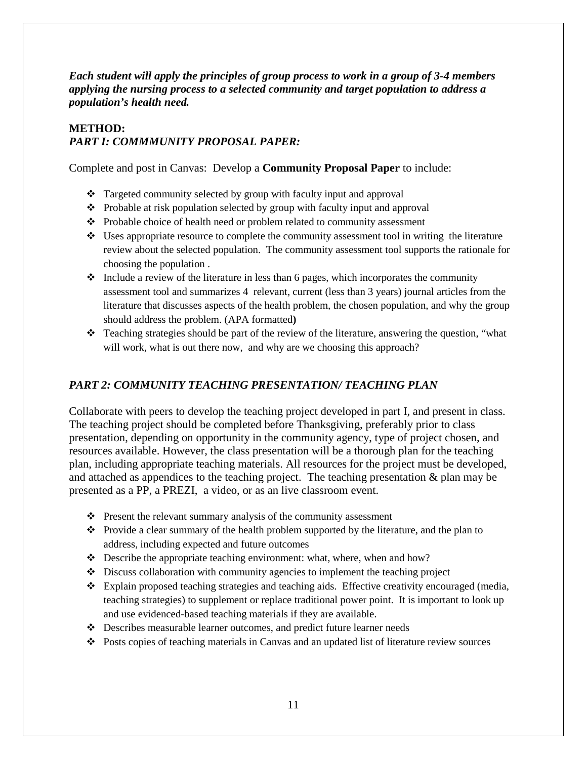*Each student will apply the principles of group process to work in a group of 3-4 members applying the nursing process to a selected community and target population to address a population's health need.* 

# **METHOD:** *PART I: COMMMUNITY PROPOSAL PAPER:*

Complete and post in Canvas: Develop a **Community Proposal Paper** to include:

- Targeted community selected by group with faculty input and approval
- Probable at risk population selected by group with faculty input and approval
- Probable choice of health need or problem related to community assessment
- $\bullet\bullet$  Uses appropriate resource to complete the community assessment tool in writing the literature review about the selected population. The community assessment tool supports the rationale for choosing the population .
- $\bullet$  Include a review of the literature in less than 6 pages, which incorporates the community assessment tool and summarizes 4 relevant, current (less than 3 years) journal articles from the literature that discusses aspects of the health problem, the chosen population, and why the group should address the problem. (APA formatted**)**
- $\cdot \cdot$  Teaching strategies should be part of the review of the literature, answering the question, "what will work, what is out there now, and why are we choosing this approach?

# *PART 2: COMMUNITY TEACHING PRESENTATION/ TEACHING PLAN*

Collaborate with peers to develop the teaching project developed in part I, and present in class. The teaching project should be completed before Thanksgiving, preferably prior to class presentation, depending on opportunity in the community agency, type of project chosen, and resources available. However, the class presentation will be a thorough plan for the teaching plan, including appropriate teaching materials. All resources for the project must be developed, and attached as appendices to the teaching project. The teaching presentation & plan may be presented as a PP, a PREZI, a video, or as an live classroom event.

- $\triangle$  Present the relevant summary analysis of the community assessment
- Provide a clear summary of the health problem supported by the literature, and the plan to address, including expected and future outcomes
- $\triangle$  Describe the appropriate teaching environment: what, where, when and how?
- $\bullet$  Discuss collaboration with community agencies to implement the teaching project
- Explain proposed teaching strategies and teaching aids. Effective creativity encouraged (media, teaching strategies) to supplement or replace traditional power point. It is important to look up and use evidenced-based teaching materials if they are available.
- Describes measurable learner outcomes, and predict future learner needs
- Posts copies of teaching materials in Canvas and an updated list of literature review sources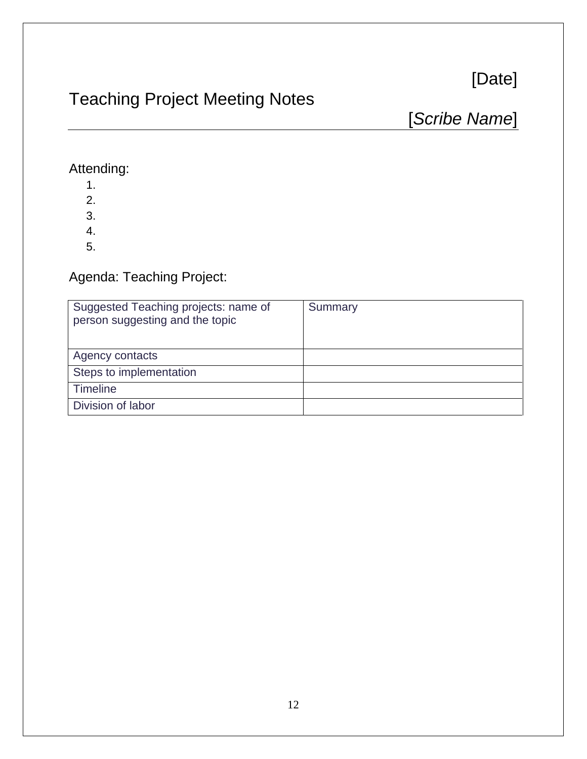# [Date]

# Teaching Project Meeting Notes

[*Scribe Name*]

# Attending:

- 1.
- 2.
- 3.
- 4.
- 5.

# Agenda: Teaching Project:

| Suggested Teaching projects: name of<br>person suggesting and the topic | Summary |
|-------------------------------------------------------------------------|---------|
| Agency contacts                                                         |         |
| Steps to implementation                                                 |         |
| Timeline                                                                |         |
| Division of labor                                                       |         |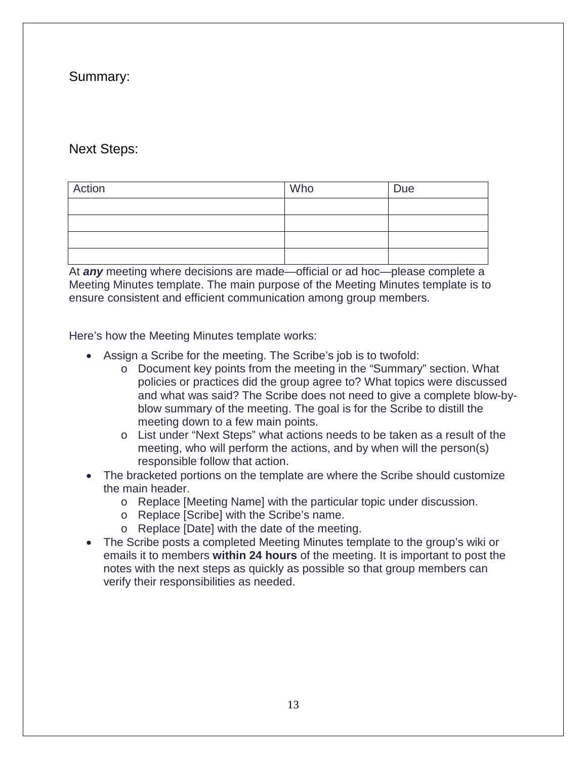# Summary:

# Next Steps:

| Action | Who | Due |
|--------|-----|-----|
|        |     |     |
|        |     |     |
|        |     |     |
|        |     |     |

At *any* meeting where decisions are made—official or ad hoc—please complete a Meeting Minutes template. The main purpose of the Meeting Minutes template is to ensure consistent and efficient communication among group members.

Here's how the Meeting Minutes template works:

- Assign a Scribe for the meeting. The Scribe's job is to twofold:
	- o Document key points from the meeting in the "Summary" section. What policies or practices did the group agree to? What topics were discussed and what was said? The Scribe does not need to give a complete blow-byblow summary of the meeting. The goal is for the Scribe to distill the meeting down to a few main points.
	- o List under "Next Steps" what actions needs to be taken as a result of the meeting, who will perform the actions, and by when will the person(s) responsible follow that action.
- The bracketed portions on the template are where the Scribe should customize the main header.
	- o Replace [Meeting Name] with the particular topic under discussion.
	- o Replace [Scribe] with the Scribe's name.
	- o Replace [Date] with the date of the meeting.
- The Scribe posts a completed Meeting Minutes template to the group's wiki or emails it to members **within 24 hours** of the meeting. It is important to post the notes with the next steps as quickly as possible so that group members can verify their responsibilities as needed.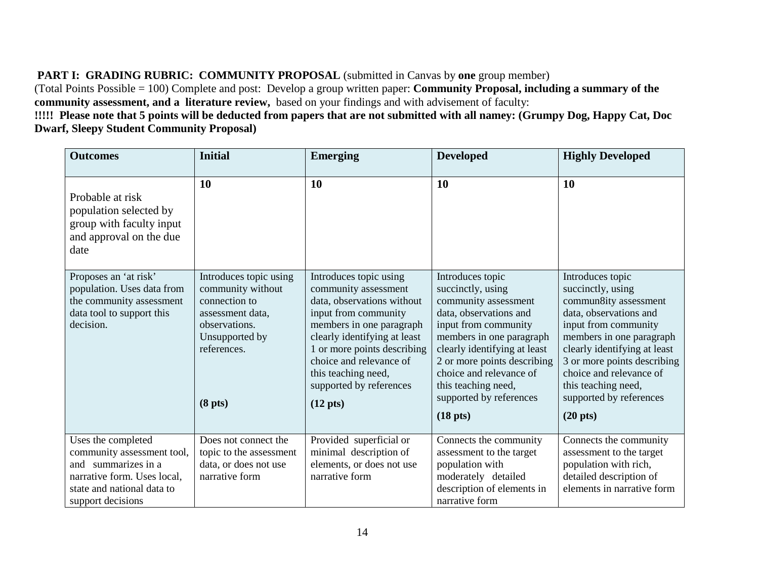# **PART I: GRADING RUBRIC: COMMUNITY PROPOSAL** (submitted in Canvas by **one** group member)

(Total Points Possible = 100) Complete and post: Develop a group written paper: **Community Proposal, including a summary of the community assessment, and a literature review,** based on your findings and with advisement of faculty:

**!!!!! Please note that 5 points will be deducted from papers that are not submitted with all namey: (Grumpy Dog, Happy Cat, Doc Dwarf, Sleepy Student Community Proposal)**

| <b>Outcomes</b>                                                                                                                                           | <b>Initial</b>                                                                                                                                            | <b>Emerging</b>                                                                                                                                                                                                                                                                                    | <b>Developed</b>                                                                                                                                                                                                                                                                                                | <b>Highly Developed</b>                                                                                                                                                                                                                                                                                        |
|-----------------------------------------------------------------------------------------------------------------------------------------------------------|-----------------------------------------------------------------------------------------------------------------------------------------------------------|----------------------------------------------------------------------------------------------------------------------------------------------------------------------------------------------------------------------------------------------------------------------------------------------------|-----------------------------------------------------------------------------------------------------------------------------------------------------------------------------------------------------------------------------------------------------------------------------------------------------------------|----------------------------------------------------------------------------------------------------------------------------------------------------------------------------------------------------------------------------------------------------------------------------------------------------------------|
| Probable at risk<br>population selected by<br>group with faculty input<br>and approval on the due<br>date                                                 | <b>10</b>                                                                                                                                                 | <b>10</b>                                                                                                                                                                                                                                                                                          | 10                                                                                                                                                                                                                                                                                                              | <b>10</b>                                                                                                                                                                                                                                                                                                      |
| Proposes an 'at risk'<br>population. Uses data from<br>the community assessment<br>data tool to support this<br>decision.                                 | Introduces topic using<br>community without<br>connection to<br>assessment data,<br>observations.<br>Unsupported by<br>references.<br>(8 <sub>pts</sub> ) | Introduces topic using<br>community assessment<br>data, observations without<br>input from community<br>members in one paragraph<br>clearly identifying at least<br>1 or more points describing<br>choice and relevance of<br>this teaching need,<br>supported by references<br>$(12 \text{ pts})$ | Introduces topic<br>succinctly, using<br>community assessment<br>data, observations and<br>input from community<br>members in one paragraph<br>clearly identifying at least<br>2 or more points describing<br>choice and relevance of<br>this teaching need,<br>supported by references<br>(18 <sub>pts</sub> ) | Introduces topic<br>succinctly, using<br>commun8ity assessment<br>data, observations and<br>input from community<br>members in one paragraph<br>clearly identifying at least<br>3 or more points describing<br>choice and relevance of<br>this teaching need,<br>supported by references<br>$(20 \text{ pts})$ |
| Uses the completed<br>community assessment tool,<br>and summarizes in a<br>narrative form. Uses local,<br>state and national data to<br>support decisions | Does not connect the<br>topic to the assessment<br>data, or does not use<br>narrative form                                                                | Provided superficial or<br>minimal description of<br>elements, or does not use<br>narrative form                                                                                                                                                                                                   | Connects the community<br>assessment to the target<br>population with<br>moderately detailed<br>description of elements in<br>narrative form                                                                                                                                                                    | Connects the community<br>assessment to the target<br>population with rich,<br>detailed description of<br>elements in narrative form                                                                                                                                                                           |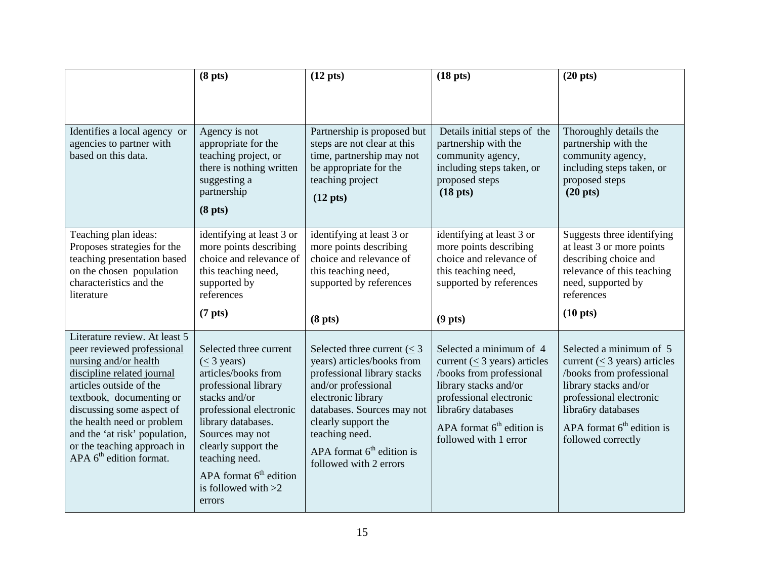|                                                                                                                                                                                                                                                                                                                                   | (8 <sub>pts</sub> )                                                                                                                                                                                                                                                                   | $(12 \text{ pts})$                                                                                                                                                                                                                                                      | (18 <sub>pts</sub> )                                                                                                                                                                                                        | $(20 \text{ pts})$                                                                                                                                                                                                       |  |
|-----------------------------------------------------------------------------------------------------------------------------------------------------------------------------------------------------------------------------------------------------------------------------------------------------------------------------------|---------------------------------------------------------------------------------------------------------------------------------------------------------------------------------------------------------------------------------------------------------------------------------------|-------------------------------------------------------------------------------------------------------------------------------------------------------------------------------------------------------------------------------------------------------------------------|-----------------------------------------------------------------------------------------------------------------------------------------------------------------------------------------------------------------------------|--------------------------------------------------------------------------------------------------------------------------------------------------------------------------------------------------------------------------|--|
|                                                                                                                                                                                                                                                                                                                                   |                                                                                                                                                                                                                                                                                       |                                                                                                                                                                                                                                                                         |                                                                                                                                                                                                                             |                                                                                                                                                                                                                          |  |
| Identifies a local agency or<br>agencies to partner with<br>based on this data.                                                                                                                                                                                                                                                   | Agency is not<br>appropriate for the<br>teaching project, or<br>there is nothing written<br>suggesting a<br>partnership<br>(8 <sub>pts</sub> )                                                                                                                                        | Partnership is proposed but<br>steps are not clear at this<br>time, partnership may not<br>be appropriate for the<br>teaching project<br>$(12 \text{ pts})$                                                                                                             | Details initial steps of the<br>partnership with the<br>community agency,<br>including steps taken, or<br>proposed steps<br>(18 <sub>pts</sub> )                                                                            | Thoroughly details the<br>partnership with the<br>community agency,<br>including steps taken, or<br>proposed steps<br>(20 <sub>pts</sub> )                                                                               |  |
| Teaching plan ideas:<br>Proposes strategies for the<br>teaching presentation based<br>on the chosen population<br>characteristics and the<br>literature                                                                                                                                                                           | identifying at least 3 or<br>more points describing<br>choice and relevance of<br>this teaching need,<br>supported by<br>references                                                                                                                                                   | identifying at least 3 or<br>more points describing<br>choice and relevance of<br>this teaching need,<br>supported by references                                                                                                                                        | identifying at least 3 or<br>more points describing<br>choice and relevance of<br>this teaching need,<br>supported by references                                                                                            | Suggests three identifying<br>at least 3 or more points<br>describing choice and<br>relevance of this teaching<br>need, supported by<br>references                                                                       |  |
|                                                                                                                                                                                                                                                                                                                                   | (7 <sub>pts</sub> )                                                                                                                                                                                                                                                                   | (8 <sub>pts</sub> )                                                                                                                                                                                                                                                     | (9 <sub>pts</sub> )                                                                                                                                                                                                         | $(10 \text{ pts})$                                                                                                                                                                                                       |  |
| Literature review. At least 5<br>peer reviewed professional<br>nursing and/or health<br>discipline related journal<br>articles outside of the<br>textbook, documenting or<br>discussing some aspect of<br>the health need or problem<br>and the 'at risk' population,<br>or the teaching approach in<br>APA $6th$ edition format. | Selected three current<br>$(< 3$ years)<br>articles/books from<br>professional library<br>stacks and/or<br>professional electronic<br>library databases.<br>Sources may not<br>clearly support the<br>teaching need.<br>$APA$ format $6th$ edition<br>is followed with $>2$<br>errors | Selected three current $(< 3$<br>years) articles/books from<br>professional library stacks<br>and/or professional<br>electronic library<br>databases. Sources may not<br>clearly support the<br>teaching need.<br>APA format $6th$ edition is<br>followed with 2 errors | Selected a minimum of 4<br>current ( $\leq$ 3 years) articles<br>/books from professional<br>library stacks and/or<br>professional electronic<br>libra6ry databases<br>APA format $6th$ edition is<br>followed with 1 error | Selected a minimum of 5<br>current ( $\leq$ 3 years) articles<br>/books from professional<br>library stacks and/or<br>professional electronic<br>libra6ry databases<br>APA format $6th$ edition is<br>followed correctly |  |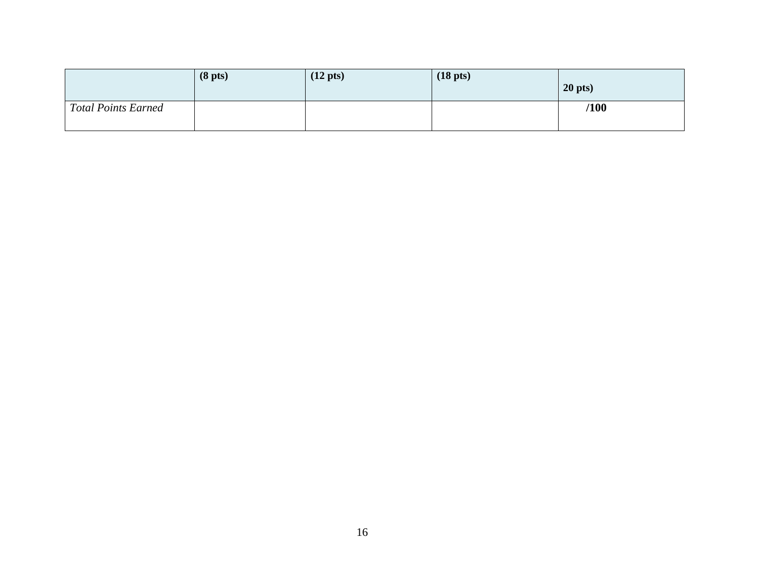|                     | (8 <sub>pts</sub> ) | $(12 \text{ pts})$ | $(18 \text{ pts})$ | $20$ pts) |
|---------------------|---------------------|--------------------|--------------------|-----------|
| Total Points Earned |                     |                    |                    | /100      |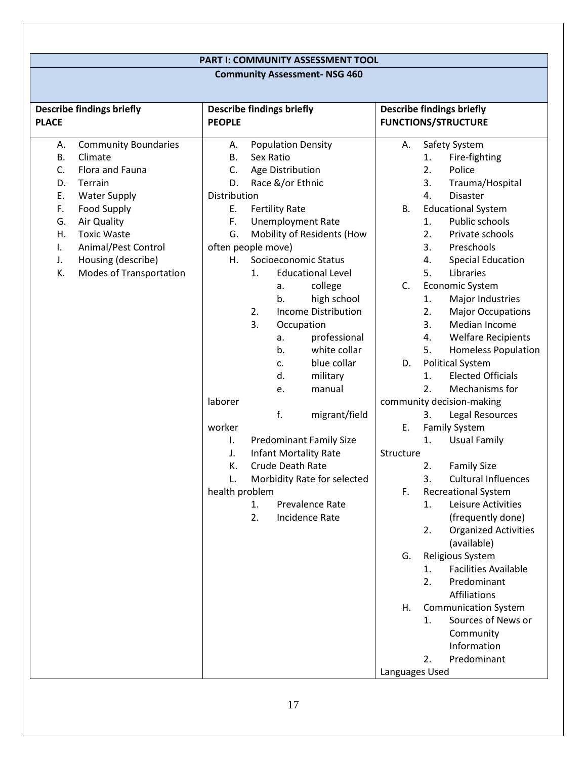# **PART I: COMMUNITY ASSESSMENT TOOL**

# **Community Assessment- NSG 460**

|                       | <b>Describe findings briefly</b>                          | <b>Describe findings briefly</b> |           |                                               |                                | <b>Describe findings briefly</b> |                        |                                            |
|-----------------------|-----------------------------------------------------------|----------------------------------|-----------|-----------------------------------------------|--------------------------------|----------------------------------|------------------------|--------------------------------------------|
| <b>PLACE</b>          |                                                           | <b>PEOPLE</b>                    |           |                                               |                                |                                  |                        | <b>FUNCTIONS/STRUCTURE</b>                 |
| Α.<br><b>B.</b><br>C. | <b>Community Boundaries</b><br>Climate<br>Flora and Fauna | Α.<br>В.<br>C.                   | Sex Ratio | <b>Population Density</b><br>Age Distribution |                                | Α.                               | 1.<br>2.               | Safety System<br>Fire-fighting<br>Police   |
| D.                    | Terrain                                                   | D.                               |           | Race &/or Ethnic                              |                                |                                  | 3.                     | Trauma/Hospital                            |
| E.                    | <b>Water Supply</b>                                       | Distribution                     |           |                                               |                                |                                  | 4.                     | <b>Disaster</b>                            |
| F.                    | <b>Food Supply</b>                                        | Ε.                               |           | <b>Fertility Rate</b>                         |                                | В.                               |                        | <b>Educational System</b>                  |
| G.                    | Air Quality                                               | F.                               |           |                                               | <b>Unemployment Rate</b>       |                                  | 1.                     | Public schools                             |
| Η.                    | <b>Toxic Waste</b>                                        | G.                               |           |                                               | Mobility of Residents (How     |                                  | 2.                     | Private schools                            |
| I.                    | Animal/Pest Control                                       | often people move)               |           |                                               |                                |                                  | 3.                     | Preschools                                 |
| J.                    | Housing (describe)                                        | Н.                               |           |                                               | Socioeconomic Status           |                                  | 4.                     | <b>Special Education</b>                   |
| K.                    | Modes of Transportation                                   |                                  | 1.        |                                               | <b>Educational Level</b>       |                                  | 5.                     | Libraries                                  |
|                       |                                                           |                                  |           | a.                                            | college                        | C.                               |                        | <b>Economic System</b>                     |
|                       |                                                           |                                  |           | b.                                            | high school                    |                                  | 1.                     | Major Industries                           |
|                       |                                                           |                                  | 2.        |                                               | <b>Income Distribution</b>     |                                  | 2.                     | <b>Major Occupations</b>                   |
|                       |                                                           |                                  | 3.        | Occupation                                    |                                |                                  | 3.                     | Median Income                              |
|                       |                                                           |                                  |           | a.                                            | professional                   |                                  | 4.                     | <b>Welfare Recipients</b>                  |
|                       |                                                           |                                  |           | b.                                            | white collar                   |                                  | 5.                     | <b>Homeless Population</b>                 |
|                       |                                                           |                                  |           | c.                                            | blue collar                    | D.                               |                        | <b>Political System</b>                    |
|                       |                                                           |                                  |           | d.                                            | military                       |                                  | 1.<br>$\overline{2}$ . | <b>Elected Officials</b>                   |
|                       |                                                           | laborer                          |           | e.                                            | manual                         |                                  |                        | Mechanisms for                             |
|                       |                                                           |                                  |           | f.                                            |                                |                                  |                        | community decision-making                  |
|                       |                                                           | worker                           |           |                                               | migrant/field                  | Ε.                               | 3.                     | Legal Resources<br><b>Family System</b>    |
|                       |                                                           | I.                               |           |                                               | <b>Predominant Family Size</b> |                                  | 1.                     | <b>Usual Family</b>                        |
|                       |                                                           | J.                               |           |                                               | <b>Infant Mortality Rate</b>   | Structure                        |                        |                                            |
|                       |                                                           | К.                               |           | Crude Death Rate                              |                                |                                  | 2.                     | <b>Family Size</b>                         |
|                       |                                                           | L.                               |           |                                               | Morbidity Rate for selected    |                                  | 3.                     | <b>Cultural Influences</b>                 |
|                       |                                                           | health problem                   |           |                                               |                                | F.                               |                        | <b>Recreational System</b>                 |
|                       |                                                           |                                  | 1.        |                                               | Prevalence Rate                |                                  | 1.                     | Leisure Activities                         |
|                       |                                                           |                                  | 2.        |                                               | Incidence Rate                 |                                  |                        | (frequently done)                          |
|                       |                                                           |                                  |           |                                               |                                |                                  | 2.                     | <b>Organized Activities</b><br>(available) |
|                       |                                                           |                                  |           |                                               |                                | G.                               |                        | Religious System                           |
|                       |                                                           |                                  |           |                                               |                                |                                  | 1.                     | <b>Facilities Available</b>                |
|                       |                                                           |                                  |           |                                               |                                |                                  | 2.                     | Predominant                                |
|                       |                                                           |                                  |           |                                               |                                |                                  |                        | Affiliations                               |
|                       |                                                           |                                  |           |                                               |                                | Η.                               |                        | <b>Communication System</b>                |
|                       |                                                           |                                  |           |                                               |                                |                                  | 1.                     | Sources of News or                         |
|                       |                                                           |                                  |           |                                               |                                |                                  |                        | Community                                  |
|                       |                                                           |                                  |           |                                               |                                |                                  |                        | Information                                |
|                       |                                                           |                                  |           |                                               |                                |                                  | 2.                     | Predominant                                |
|                       |                                                           |                                  |           |                                               |                                | Languages Used                   |                        |                                            |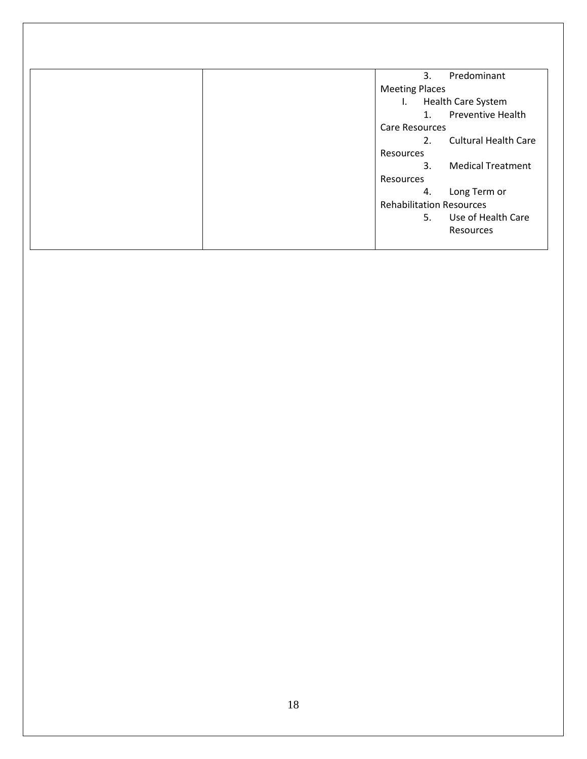| 3.<br>Predominant                         |
|-------------------------------------------|
| <b>Meeting Places</b>                     |
| <b>Health Care System</b><br>$\mathbf{L}$ |
| <b>Preventive Health</b><br>1.            |
| Care Resources                            |
| <b>Cultural Health Care</b><br>2.         |
| Resources                                 |
| <b>Medical Treatment</b><br>3.            |
| Resources                                 |
| Long Term or<br>4.                        |
| <b>Rehabilitation Resources</b>           |
| Use of Health Care<br>5.                  |
| Resources                                 |
|                                           |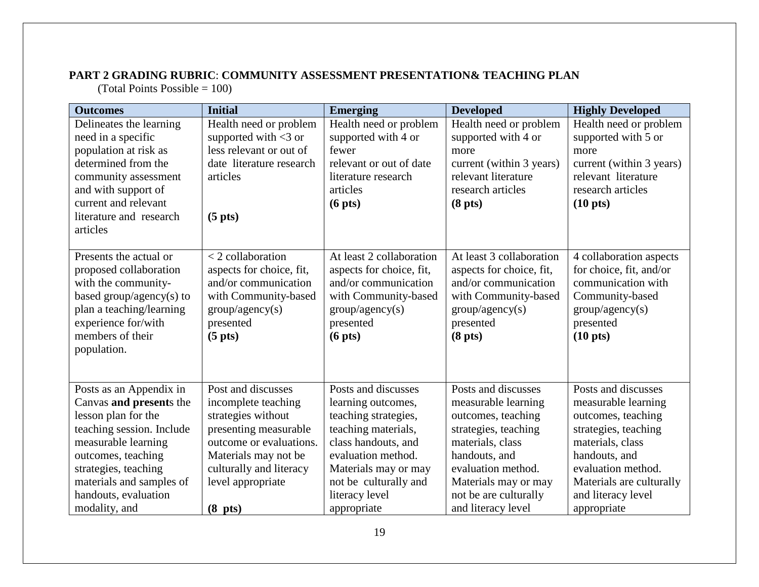# **PART 2 GRADING RUBRIC**: **COMMUNITY ASSESSMENT PRESENTATION& TEACHING PLAN**

(Total Points Possible  $= 100$ )

| <b>Outcomes</b>                                                         | <b>Initial</b>                                                          | <b>Emerging</b>                                                              | <b>Developed</b>                                                             | <b>Highly Developed</b>                                                  |
|-------------------------------------------------------------------------|-------------------------------------------------------------------------|------------------------------------------------------------------------------|------------------------------------------------------------------------------|--------------------------------------------------------------------------|
| Delineates the learning                                                 | Health need or problem                                                  | Health need or problem                                                       | Health need or problem                                                       | Health need or problem                                                   |
| need in a specific                                                      | supported with $<$ 3 or                                                 | supported with 4 or                                                          | supported with 4 or                                                          | supported with 5 or                                                      |
| population at risk as                                                   | less relevant or out of                                                 | fewer                                                                        | more                                                                         | more                                                                     |
| determined from the                                                     | date literature research                                                | relevant or out of date                                                      | current (within 3 years)                                                     | current (within 3 years)                                                 |
| community assessment                                                    | articles                                                                | literature research                                                          | relevant literature                                                          | relevant literature                                                      |
| and with support of                                                     |                                                                         | articles                                                                     | research articles                                                            | research articles                                                        |
| current and relevant                                                    |                                                                         | (6 <sub>pts</sub> )                                                          | (8 <sub>pts</sub> )                                                          | $(10 \text{ pts})$                                                       |
| literature and research                                                 | (5 <sub>p</sub> its)                                                    |                                                                              |                                                                              |                                                                          |
| articles                                                                |                                                                         |                                                                              |                                                                              |                                                                          |
|                                                                         |                                                                         |                                                                              |                                                                              |                                                                          |
| Presents the actual or<br>proposed collaboration<br>with the community- | $<$ 2 collaboration<br>aspects for choice, fit,<br>and/or communication | At least 2 collaboration<br>aspects for choice, fit,<br>and/or communication | At least 3 collaboration<br>aspects for choice, fit,<br>and/or communication | 4 collaboration aspects<br>for choice, fit, and/or<br>communication with |
| based group/agency(s) to                                                | with Community-based                                                    | with Community-based                                                         | with Community-based                                                         | Community-based                                                          |
| plan a teaching/learning                                                | group/agency(s)                                                         | group/agency(s)                                                              | group/agency(s)                                                              | group/agency(s)                                                          |
| experience for/with                                                     | presented                                                               | presented                                                                    | presented                                                                    | presented                                                                |
| members of their                                                        | (5 <sub>pts</sub> )                                                     | (6 <sub>pts</sub> )                                                          | (8 <sub>pts</sub> )                                                          | $(10 \text{ pts})$                                                       |
| population.                                                             |                                                                         |                                                                              |                                                                              |                                                                          |
|                                                                         |                                                                         |                                                                              |                                                                              |                                                                          |
|                                                                         |                                                                         |                                                                              |                                                                              |                                                                          |
| Posts as an Appendix in                                                 | Post and discusses                                                      | Posts and discusses                                                          | Posts and discusses                                                          | Posts and discusses                                                      |
| Canvas and presents the                                                 | incomplete teaching                                                     | learning outcomes,                                                           | measurable learning                                                          | measurable learning                                                      |
| lesson plan for the                                                     | strategies without                                                      | teaching strategies,                                                         | outcomes, teaching                                                           | outcomes, teaching                                                       |
| teaching session. Include                                               | presenting measurable                                                   | teaching materials,                                                          | strategies, teaching                                                         | strategies, teaching                                                     |
| measurable learning                                                     | outcome or evaluations.                                                 | class handouts, and                                                          | materials, class                                                             | materials, class                                                         |
| outcomes, teaching                                                      | Materials may not be                                                    | evaluation method.                                                           | handouts, and                                                                | handouts, and                                                            |
| strategies, teaching                                                    | culturally and literacy                                                 | Materials may or may                                                         | evaluation method.                                                           | evaluation method.                                                       |
| materials and samples of                                                | level appropriate                                                       | not be culturally and                                                        | Materials may or may                                                         | Materials are culturally                                                 |
| handouts, evaluation                                                    |                                                                         | literacy level                                                               | not be are culturally                                                        | and literacy level                                                       |
| modality, and                                                           | (8 <sub>p</sub> ts)                                                     | appropriate                                                                  | and literacy level                                                           | appropriate                                                              |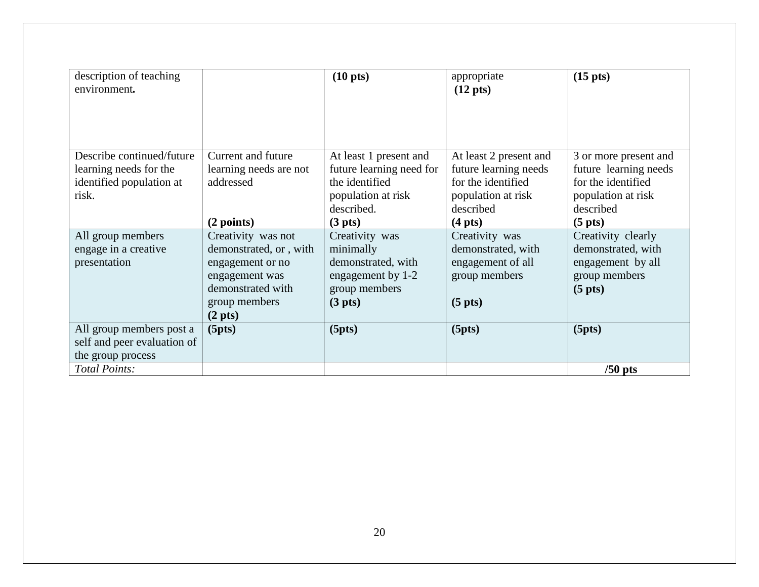| description of teaching<br>environment.                                                              |                                                                                                                                               | $(10 \text{ pts})$                                                                                                            | appropriate<br>$(12 \text{ pts})$                                                                                             | $(15 \text{ pts})$                                                                                                           |
|------------------------------------------------------------------------------------------------------|-----------------------------------------------------------------------------------------------------------------------------------------------|-------------------------------------------------------------------------------------------------------------------------------|-------------------------------------------------------------------------------------------------------------------------------|------------------------------------------------------------------------------------------------------------------------------|
| Describe continued/future<br>learning needs for the<br>identified population at<br>risk.             | Current and future<br>learning needs are not<br>addressed<br>(2 points)                                                                       | At least 1 present and<br>future learning need for<br>the identified<br>population at risk<br>described.<br>$(3 \text{ pts})$ | At least 2 present and<br>future learning needs<br>for the identified<br>population at risk<br>described<br>$(4 \text{ pts})$ | 3 or more present and<br>future learning needs<br>for the identified<br>population at risk<br>described<br>$(5 \text{ pts})$ |
| All group members<br>engage in a creative<br>presentation                                            | Creativity was not<br>demonstrated, or, with<br>engagement or no<br>engagement was<br>demonstrated with<br>group members<br>$(2 \text{ pts})$ | Creativity was<br>minimally<br>demonstrated, with<br>engagement by 1-2<br>group members<br>$(3 \text{ pts})$                  | Creativity was<br>demonstrated, with<br>engagement of all<br>group members<br>$(5 \text{ pts})$                               | Creativity clearly<br>demonstrated, with<br>engagement by all<br>group members<br>(5 <sub>pts</sub> )                        |
| All group members post a<br>self and peer evaluation of<br>the group process<br><b>Total Points:</b> | (5pts)                                                                                                                                        | (5pts)                                                                                                                        | (5pts)                                                                                                                        | (5pts)<br>$/50$ pts                                                                                                          |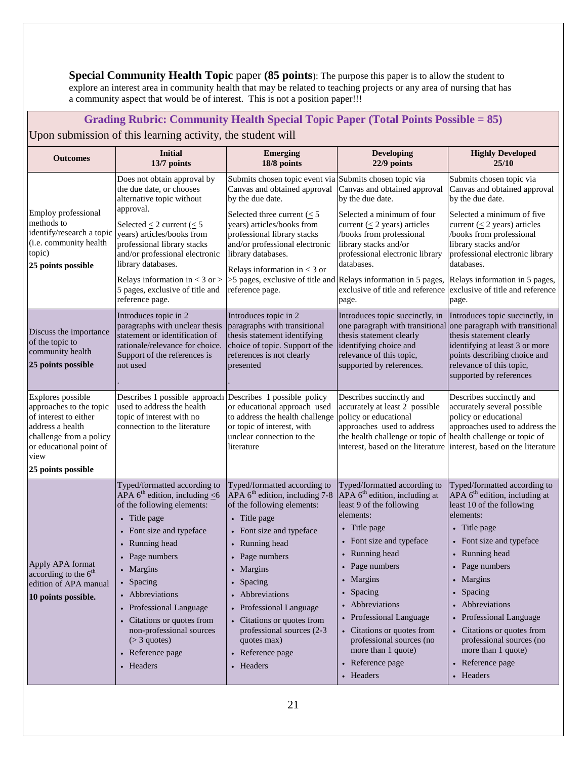**Special Community Health Topic** paper (85 points): The purpose this paper is to allow the student to explore an interest area in community health that may be related to teaching projects or any area of nursing that has a community aspect that would be of interest. This is not a position paper!!!

# **Grading Rubric: Community Health Special Topic Paper (Total Points Possible = 85)** Upon submission of this learning activity, the student will

| <b>Outcomes</b>                                                                                                                                                               | <b>Initial</b><br>13/7 points                                                                                                                                                                                                                                                                                                                                                       | <b>Emerging</b><br>18/8 points                                                                                                                                                                                                                                                                                                                                               | <b>Developing</b><br>22/9 points                                                                                                                                                                                                                                                                                                                                                  | <b>Highly Developed</b><br>25/10                                                                                                                                                                                                                                                                                                                                                   |
|-------------------------------------------------------------------------------------------------------------------------------------------------------------------------------|-------------------------------------------------------------------------------------------------------------------------------------------------------------------------------------------------------------------------------------------------------------------------------------------------------------------------------------------------------------------------------------|------------------------------------------------------------------------------------------------------------------------------------------------------------------------------------------------------------------------------------------------------------------------------------------------------------------------------------------------------------------------------|-----------------------------------------------------------------------------------------------------------------------------------------------------------------------------------------------------------------------------------------------------------------------------------------------------------------------------------------------------------------------------------|------------------------------------------------------------------------------------------------------------------------------------------------------------------------------------------------------------------------------------------------------------------------------------------------------------------------------------------------------------------------------------|
| Employ professional<br>methods to<br>identify/research a topic<br>(i.e. community health<br>topic)<br>25 points possible                                                      | Does not obtain approval by<br>the due date, or chooses<br>alternative topic without<br>approval.<br>Selected $\leq$ 2 current ( $\leq$ 5<br>years) articles/books from<br>professional library stacks<br>and/or professional electronic<br>library databases.<br>Relays information in $<$ 3 or $>$<br>5 pages, exclusive of title and<br>reference page.                          | Submits chosen topic event via Submits chosen topic via<br>Canvas and obtained approval<br>by the due date.<br>Selected three current ( $\leq$ 5<br>years) articles/books from<br>professional library stacks<br>and/or professional electronic<br>library databases.<br>Relays information in $<$ 3 or<br>reference page.                                                   | Canvas and obtained approval<br>by the due date.<br>Selected a minimum of four<br>current ( $\leq$ 2 years) articles<br>books from professional<br>library stacks and/or<br>professional electronic library<br>databases.<br>>5 pages, exclusive of title and Relays information in 5 pages,<br>exclusive of title and reference<br>page.                                         | Submits chosen topic via<br>Canvas and obtained approval<br>by the due date.<br>Selected a minimum of five<br>current ( $\leq$ 2 years) articles<br>/books from professional<br>library stacks and/or<br>professional electronic library<br>databases.<br>Relays information in 5 pages,<br>exclusive of title and reference<br>page.                                              |
| Discuss the importance<br>of the topic to<br>community health<br>25 points possible                                                                                           | Introduces topic in 2<br>paragraphs with unclear thesis<br>statement or identification of<br>rationale/relevance for choice.<br>Support of the references is<br>not used                                                                                                                                                                                                            | Introduces topic in 2<br>paragraphs with transitional<br>thesis statement identifying<br>choice of topic. Support of the<br>references is not clearly<br>presented                                                                                                                                                                                                           | Introduces topic succinctly, in<br>one paragraph with transitional<br>thesis statement clearly<br>identifying choice and<br>relevance of this topic,<br>supported by references.                                                                                                                                                                                                  | Introduces topic succinctly, in<br>one paragraph with transitional<br>thesis statement clearly<br>identifying at least 3 or more<br>points describing choice and<br>relevance of this topic,<br>supported by references                                                                                                                                                            |
| Explores possible<br>approaches to the topic<br>of interest to either<br>address a health<br>challenge from a policy<br>or educational point of<br>view<br>25 points possible | Describes 1 possible approach Describes 1 possible policy<br>used to address the health<br>topic of interest with no<br>connection to the literature                                                                                                                                                                                                                                | or educational approach used<br>to address the health challenge<br>or topic of interest, with<br>unclear connection to the<br>literature                                                                                                                                                                                                                                     | Describes succinctly and<br>accurately at least 2 possible<br>policy or educational<br>approaches used to address<br>the health challenge or topic of health challenge or topic of<br>interest, based on the literature                                                                                                                                                           | Describes succinctly and<br>accurately several possible<br>policy or educational<br>approaches used to address the<br>interest, based on the literature                                                                                                                                                                                                                            |
| Apply APA format<br>according to the 6 <sup>th</sup><br>edition of APA manual<br>10 points possible.                                                                          | Typed/formatted according to<br>APA $6^{\text{th}}$ edition, including $\leq 6$<br>of the following elements:<br>• Title page<br>• Font size and typeface<br>• Running head<br>• Page numbers<br>• Margins<br>• Spacing<br>• Abbreviations<br>• Professional Language<br>• Citations or quotes from<br>non-professional sources<br>$($ > 3 quotes)<br>• Reference page<br>• Headers | Typed/formatted according to<br>APA $6^{\text{th}}$ edition, including 7-8<br>of the following elements:<br>• Title page<br>• Font size and typeface<br>• Running head<br>• Page numbers<br>• Margins<br>• Spacing<br>• Abbreviations<br>• Professional Language<br>• Citations or quotes from<br>professional sources (2-3)<br>quotes max)<br>• Reference page<br>• Headers | Typed/formatted according to<br>APA $6th$ edition, including at<br>least 9 of the following<br>elements:<br>• Title page<br>• Font size and typeface<br>• Running head<br>• Page numbers<br>• Margins<br>• Spacing<br>• Abbreviations<br>• Professional Language<br>• Citations or quotes from<br>professional sources (no<br>more than 1 quote)<br>• Reference page<br>• Headers | Typed/formatted according to<br>APA $6th$ edition, including at<br>least 10 of the following<br>elements:<br>• Title page<br>• Font size and typeface<br>• Running head<br>• Page numbers<br>• Margins<br>• Spacing<br>• Abbreviations<br>• Professional Language<br>• Citations or quotes from<br>professional sources (no<br>more than 1 quote)<br>• Reference page<br>• Headers |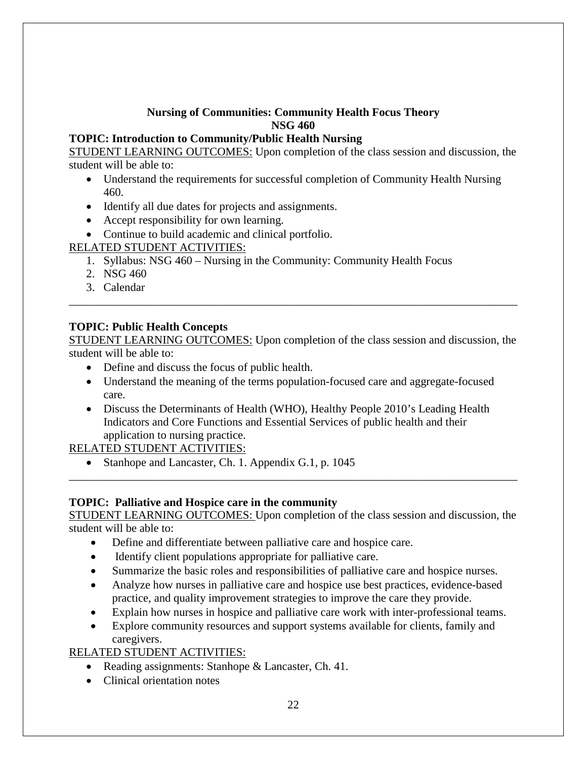#### **Nursing of Communities: Community Health Focus Theory NSG 460**

#### **TOPIC: Introduction to Community/Public Health Nursing**

STUDENT LEARNING OUTCOMES: Upon completion of the class session and discussion, the student will be able to:

- Understand the requirements for successful completion of Community Health Nursing 460.
- Identify all due dates for projects and assignments.
- Accept responsibility for own learning.
- Continue to build academic and clinical portfolio.

RELATED STUDENT ACTIVITIES:

- 1. Syllabus: NSG 460 Nursing in the Community: Community Health Focus
- 2. NSG 460
- 3. Calendar

#### **TOPIC: Public Health Concepts**

STUDENT LEARNING OUTCOMES: Upon completion of the class session and discussion, the student will be able to:

\_\_\_\_\_\_\_\_\_\_\_\_\_\_\_\_\_\_\_\_\_\_\_\_\_\_\_\_\_\_\_\_\_\_\_\_\_\_\_\_\_\_\_\_\_\_\_\_\_\_\_\_\_\_\_\_\_\_\_\_\_\_\_\_\_\_\_\_\_\_\_\_\_\_\_\_\_\_

- Define and discuss the focus of public health.
- Understand the meaning of the terms population-focused care and aggregate-focused care.
- Discuss the Determinants of Health (WHO), Healthy People 2010's Leading Health Indicators and Core Functions and Essential Services of public health and their application to nursing practice.

RELATED STUDENT ACTIVITIES:

• Stanhope and Lancaster, Ch. 1. Appendix G.1, p. 1045

#### **TOPIC: Palliative and Hospice care in the community**

STUDENT LEARNING OUTCOMES: Upon completion of the class session and discussion, the student will be able to:

\_\_\_\_\_\_\_\_\_\_\_\_\_\_\_\_\_\_\_\_\_\_\_\_\_\_\_\_\_\_\_\_\_\_\_\_\_\_\_\_\_\_\_\_\_\_\_\_\_\_\_\_\_\_\_\_\_\_\_\_\_\_\_\_\_\_\_\_\_\_\_\_\_\_\_\_\_\_

- Define and differentiate between palliative care and hospice care.
- Identify client populations appropriate for palliative care.
- Summarize the basic roles and responsibilities of palliative care and hospice nurses.
- Analyze how nurses in palliative care and hospice use best practices, evidence-based practice, and quality improvement strategies to improve the care they provide.
- Explain how nurses in hospice and palliative care work with inter-professional teams.
- Explore community resources and support systems available for clients, family and caregivers.

# RELATED STUDENT ACTIVITIES:

- Reading assignments: Stanhope & Lancaster, Ch. 41.
- Clinical orientation notes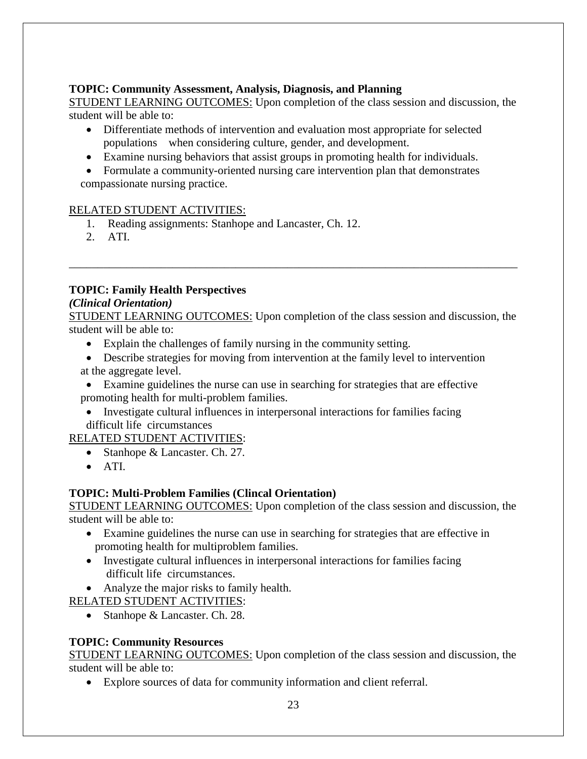#### **TOPIC: Community Assessment, Analysis, Diagnosis, and Planning**

STUDENT LEARNING OUTCOMES: Upon completion of the class session and discussion, the student will be able to:

- Differentiate methods of intervention and evaluation most appropriate for selected populations when considering culture, gender, and development.
- Examine nursing behaviors that assist groups in promoting health for individuals.

• Formulate a community-oriented nursing care intervention plan that demonstrates compassionate nursing practice.

#### RELATED STUDENT ACTIVITIES:

- 1. Reading assignments: Stanhope and Lancaster, Ch. 12.
- 2. ATI.

#### **TOPIC: Family Health Perspectives**

#### *(Clinical Orientation)*

STUDENT LEARNING OUTCOMES: Upon completion of the class session and discussion, the student will be able to:

\_\_\_\_\_\_\_\_\_\_\_\_\_\_\_\_\_\_\_\_\_\_\_\_\_\_\_\_\_\_\_\_\_\_\_\_\_\_\_\_\_\_\_\_\_\_\_\_\_\_\_\_\_\_\_\_\_\_\_\_\_\_\_\_\_\_\_\_\_\_\_\_\_\_\_\_\_\_

- Explain the challenges of family nursing in the community setting.
- Describe strategies for moving from intervention at the family level to intervention at the aggregate level.
- Examine guidelines the nurse can use in searching for strategies that are effective promoting health for multi-problem families.
	- Investigate cultural influences in interpersonal interactions for families facing difficult life circumstances

RELATED STUDENT ACTIVITIES:

- Stanhope & Lancaster. Ch. 27.
- ATI.

# **TOPIC: Multi-Problem Families (Clincal Orientation)**

STUDENT LEARNING OUTCOMES: Upon completion of the class session and discussion, the student will be able to:

- Examine guidelines the nurse can use in searching for strategies that are effective in promoting health for multiproblem families.
- Investigate cultural influences in interpersonal interactions for families facing difficult life circumstances.
- Analyze the major risks to family health.

RELATED STUDENT ACTIVITIES:

• Stanhope & Lancaster. Ch. 28.

# **TOPIC: Community Resources**

STUDENT LEARNING OUTCOMES: Upon completion of the class session and discussion, the student will be able to:

• Explore sources of data for community information and client referral.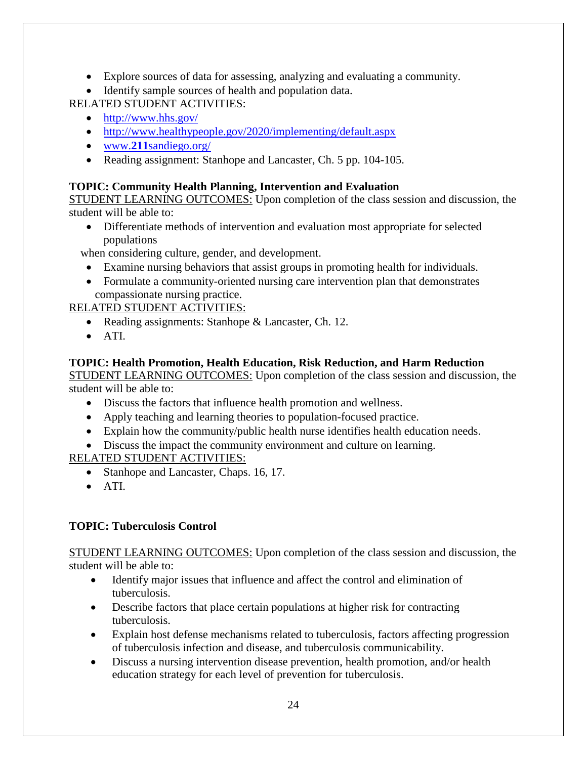- Explore sources of data for assessing, analyzing and evaluating a community.
- Identify sample sources of health and population data.

RELATED STUDENT ACTIVITIES:

- <http://www.hhs.gov/>
- <http://www.healthypeople.gov/2020/implementing/default.aspx>
- www.**211**[sandiego.org/](http://www.211sandiego.org/)
- Reading assignment: Stanhope and Lancaster, Ch. 5 pp. 104-105.

#### **TOPIC: Community Health Planning, Intervention and Evaluation**

STUDENT LEARNING OUTCOMES: Upon completion of the class session and discussion, the student will be able to:

• Differentiate methods of intervention and evaluation most appropriate for selected populations

when considering culture, gender, and development.

- Examine nursing behaviors that assist groups in promoting health for individuals.
- Formulate a community-oriented nursing care intervention plan that demonstrates compassionate nursing practice.

# RELATED STUDENT ACTIVITIES:

- Reading assignments: Stanhope & Lancaster, Ch. 12.
- ATI.

#### **TOPIC: Health Promotion, Health Education, Risk Reduction, and Harm Reduction**

STUDENT LEARNING OUTCOMES: Upon completion of the class session and discussion, the student will be able to:

- Discuss the factors that influence health promotion and wellness.
- Apply teaching and learning theories to population-focused practice.
- Explain how the community/public health nurse identifies health education needs.
- Discuss the impact the community environment and culture on learning.

# RELATED STUDENT ACTIVITIES:

- Stanhope and Lancaster, Chaps. 16, 17.
- ATI.

# **TOPIC: Tuberculosis Control**

STUDENT LEARNING OUTCOMES: Upon completion of the class session and discussion, the student will be able to:

- Identify major issues that influence and affect the control and elimination of tuberculosis.
- Describe factors that place certain populations at higher risk for contracting tuberculosis.
- Explain host defense mechanisms related to tuberculosis, factors affecting progression of tuberculosis infection and disease, and tuberculosis communicability.
- Discuss a nursing intervention disease prevention, health promotion, and/or health education strategy for each level of prevention for tuberculosis.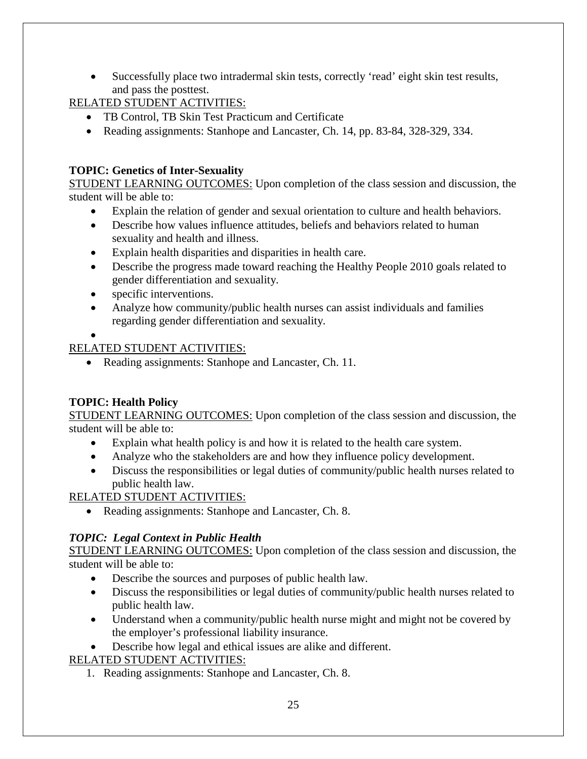Successfully place two intradermal skin tests, correctly 'read' eight skin test results, and pass the posttest.

RELATED STUDENT ACTIVITIES:

- TB Control, TB Skin Test Practicum and Certificate
- Reading assignments: Stanhope and Lancaster, Ch. 14, pp. 83-84, 328-329, 334.

# **TOPIC: Genetics of Inter-Sexuality**

STUDENT LEARNING OUTCOMES: Upon completion of the class session and discussion, the student will be able to:

- Explain the relation of gender and sexual orientation to culture and health behaviors.
- Describe how values influence attitudes, beliefs and behaviors related to human sexuality and health and illness.
- Explain health disparities and disparities in health care.
- Describe the progress made toward reaching the Healthy People 2010 goals related to gender differentiation and sexuality.
- specific interventions.
- Analyze how community/public health nurses can assist individuals and families regarding gender differentiation and sexuality.

•

#### RELATED STUDENT ACTIVITIES:

• Reading assignments: Stanhope and Lancaster, Ch. 11.

# **TOPIC: Health Policy**

STUDENT LEARNING OUTCOMES: Upon completion of the class session and discussion, the student will be able to:

- Explain what health policy is and how it is related to the health care system.
- Analyze who the stakeholders are and how they influence policy development.
- Discuss the responsibilities or legal duties of community/public health nurses related to public health law.

RELATED STUDENT ACTIVITIES:

• Reading assignments: Stanhope and Lancaster, Ch. 8.

# *TOPIC: Legal Context in Public Health*

STUDENT LEARNING OUTCOMES: Upon completion of the class session and discussion, the student will be able to:

- Describe the sources and purposes of public health law.
- Discuss the responsibilities or legal duties of community/public health nurses related to public health law.
- Understand when a community/public health nurse might and might not be covered by the employer's professional liability insurance.

• Describe how legal and ethical issues are alike and different.

# RELATED STUDENT ACTIVITIES:

1. Reading assignments: Stanhope and Lancaster, Ch. 8.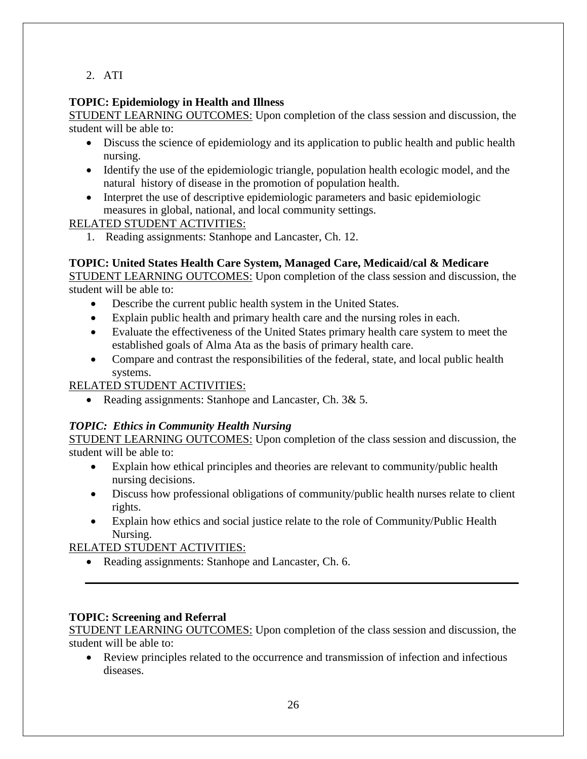2. ATI

# **TOPIC: Epidemiology in Health and Illness**

STUDENT LEARNING OUTCOMES: Upon completion of the class session and discussion, the student will be able to:

- Discuss the science of epidemiology and its application to public health and public health nursing.
- Identify the use of the epidemiologic triangle, population health ecologic model, and the natural history of disease in the promotion of population health.
- Interpret the use of descriptive epidemiologic parameters and basic epidemiologic measures in global, national, and local community settings.

# RELATED STUDENT ACTIVITIES:

1. Reading assignments: Stanhope and Lancaster, Ch. 12.

# **TOPIC: United States Health Care System, Managed Care, Medicaid/cal & Medicare**

STUDENT LEARNING OUTCOMES: Upon completion of the class session and discussion, the student will be able to:

- Describe the current public health system in the United States.
- Explain public health and primary health care and the nursing roles in each.
- Evaluate the effectiveness of the United States primary health care system to meet the established goals of Alma Ata as the basis of primary health care.
- Compare and contrast the responsibilities of the federal, state, and local public health systems.

#### RELATED STUDENT ACTIVITIES:

• Reading assignments: Stanhope and Lancaster, Ch. 3& 5.

# *TOPIC: Ethics in Community Health Nursing*

STUDENT LEARNING OUTCOMES: Upon completion of the class session and discussion, the student will be able to:

- Explain how ethical principles and theories are relevant to community/public health nursing decisions.
- Discuss how professional obligations of community/public health nurses relate to client rights.
- Explain how ethics and social justice relate to the role of Community/Public Health Nursing.

# RELATED STUDENT ACTIVITIES:

• Reading assignments: Stanhope and Lancaster, Ch. 6.

# **TOPIC: Screening and Referral**

STUDENT LEARNING OUTCOMES: Upon completion of the class session and discussion, the student will be able to:

• Review principles related to the occurrence and transmission of infection and infectious diseases.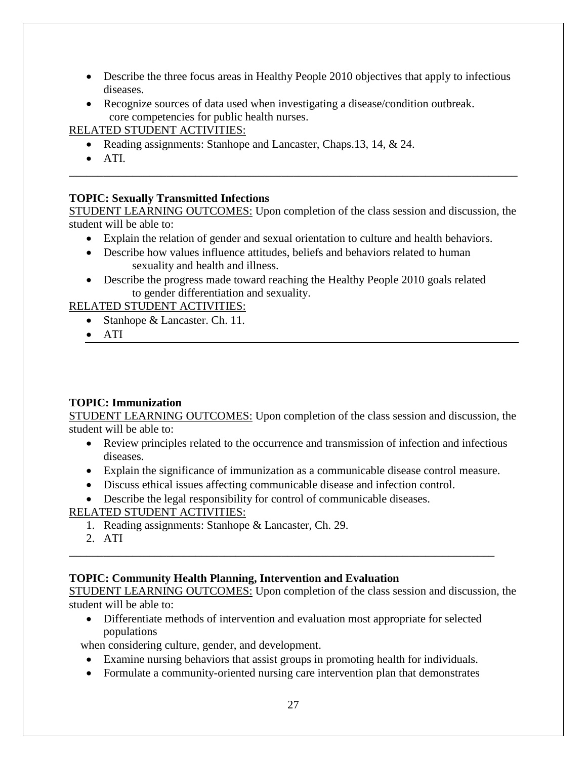- Describe the three focus areas in Healthy People 2010 objectives that apply to infectious diseases.
- Recognize sources of data used when investigating a disease/condition outbreak. core competencies for public health nurses.

#### RELATED STUDENT ACTIVITIES:

- Reading assignments: Stanhope and Lancaster, Chaps. 13, 14, & 24.
- ATI.

#### **TOPIC: Sexually Transmitted Infections**

STUDENT LEARNING OUTCOMES: Upon completion of the class session and discussion, the student will be able to:

\_\_\_\_\_\_\_\_\_\_\_\_\_\_\_\_\_\_\_\_\_\_\_\_\_\_\_\_\_\_\_\_\_\_\_\_\_\_\_\_\_\_\_\_\_\_\_\_\_\_\_\_\_\_\_\_\_\_\_\_\_\_\_\_\_\_\_\_\_\_\_\_\_\_\_\_\_\_

- Explain the relation of gender and sexual orientation to culture and health behaviors.
- Describe how values influence attitudes, beliefs and behaviors related to human sexuality and health and illness.
- Describe the progress made toward reaching the Healthy People 2010 goals related to gender differentiation and sexuality.

RELATED STUDENT ACTIVITIES:

- Stanhope & Lancaster. Ch. 11.
- ATI

# **TOPIC: Immunization**

STUDENT LEARNING OUTCOMES: Upon completion of the class session and discussion, the student will be able to:

- Review principles related to the occurrence and transmission of infection and infectious diseases.
- Explain the significance of immunization as a communicable disease control measure.
- Discuss ethical issues affecting communicable disease and infection control.
- Describe the legal responsibility for control of communicable diseases.

#### RELATED STUDENT ACTIVITIES:

- 1. Reading assignments: Stanhope & Lancaster, Ch. 29.
- 2. ATI

# **TOPIC: Community Health Planning, Intervention and Evaluation**

STUDENT LEARNING OUTCOMES: Upon completion of the class session and discussion, the student will be able to:

• Differentiate methods of intervention and evaluation most appropriate for selected populations

\_\_\_\_\_\_\_\_\_\_\_\_\_\_\_\_\_\_\_\_\_\_\_\_\_\_\_\_\_\_\_\_\_\_\_\_\_\_\_\_\_\_\_\_\_\_\_\_\_\_\_\_\_\_\_\_\_\_\_\_\_\_\_\_\_\_\_\_\_\_\_\_\_\_

when considering culture, gender, and development.

- Examine nursing behaviors that assist groups in promoting health for individuals.
- Formulate a community-oriented nursing care intervention plan that demonstrates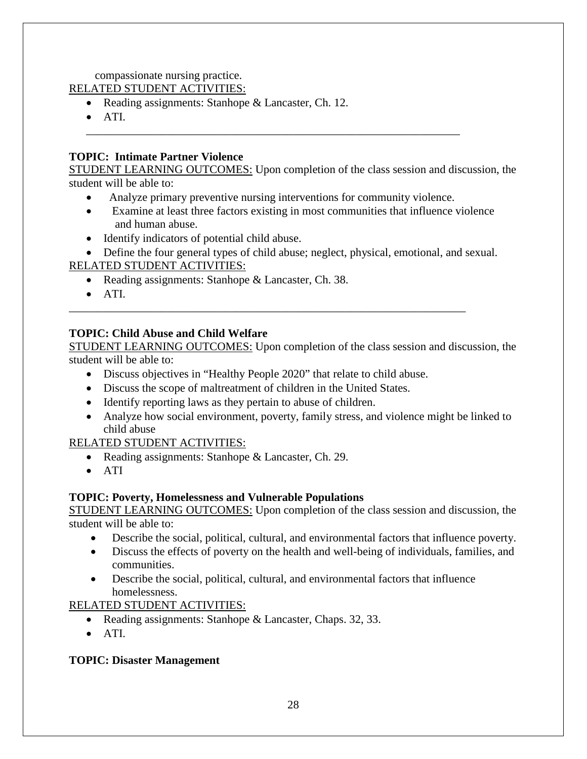compassionate nursing practice.

RELATED STUDENT ACTIVITIES:

- Reading assignments: Stanhope & Lancaster, Ch. 12.
- ATI.

#### **TOPIC: Intimate Partner Violence**

STUDENT LEARNING OUTCOMES: Upon completion of the class session and discussion, the student will be able to:

• Analyze primary preventive nursing interventions for community violence.

\_\_\_\_\_\_\_\_\_\_\_\_\_\_\_\_\_\_\_\_\_\_\_\_\_\_\_\_\_\_\_\_\_\_\_\_\_\_\_\_\_\_\_\_\_\_\_\_\_\_\_\_\_\_\_\_\_\_\_\_\_\_\_\_\_

- Examine at least three factors existing in most communities that influence violence and human abuse.
- Identify indicators of potential child abuse.

• Define the four general types of child abuse; neglect, physical, emotional, and sexual.

#### RELATED STUDENT ACTIVITIES:

- Reading assignments: Stanhope & Lancaster, Ch. 38.
- ATI.

#### **TOPIC: Child Abuse and Child Welfare**

STUDENT LEARNING OUTCOMES: Upon completion of the class session and discussion, the student will be able to:

• Discuss objectives in "Healthy People 2020" that relate to child abuse.

\_\_\_\_\_\_\_\_\_\_\_\_\_\_\_\_\_\_\_\_\_\_\_\_\_\_\_\_\_\_\_\_\_\_\_\_\_\_\_\_\_\_\_\_\_\_\_\_\_\_\_\_\_\_\_\_\_\_\_\_\_\_\_\_\_\_\_\_\_

- Discuss the scope of maltreatment of children in the United States.
- Identify reporting laws as they pertain to abuse of children.
- Analyze how social environment, poverty, family stress, and violence might be linked to child abuse

#### RELATED STUDENT ACTIVITIES:

- Reading assignments: Stanhope & Lancaster, Ch. 29.
- ATI

#### **TOPIC: Poverty, Homelessness and Vulnerable Populations**

STUDENT LEARNING OUTCOMES: Upon completion of the class session and discussion, the student will be able to:

- Describe the social, political, cultural, and environmental factors that influence poverty.
- Discuss the effects of poverty on the health and well-being of individuals, families, and communities.
- Describe the social, political, cultural, and environmental factors that influence homelessness.

#### RELATED STUDENT ACTIVITIES:

- Reading assignments: Stanhope & Lancaster, Chaps. 32, 33.
- ATI.

#### **TOPIC: Disaster Management**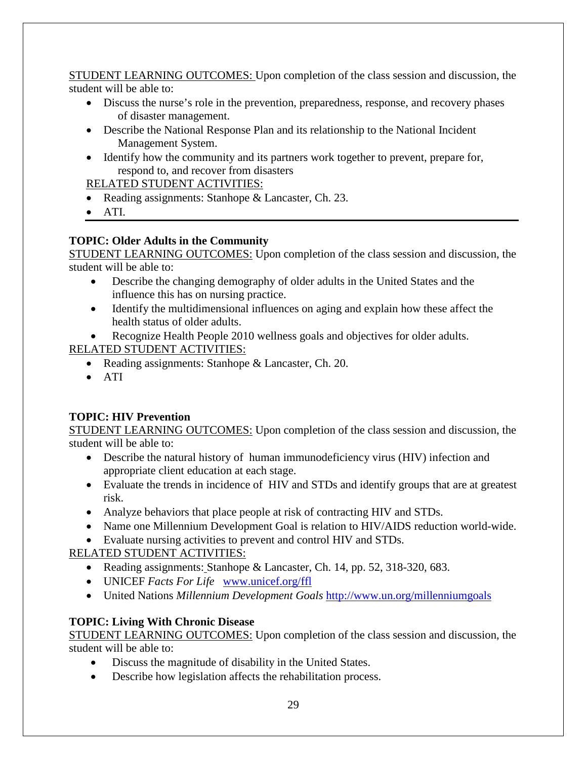STUDENT LEARNING OUTCOMES: Upon completion of the class session and discussion, the student will be able to:

- Discuss the nurse's role in the prevention, preparedness, response, and recovery phases of disaster management.
- Describe the National Response Plan and its relationship to the National Incident Management System.
- Identify how the community and its partners work together to prevent, prepare for, respond to, and recover from disasters

#### RELATED STUDENT ACTIVITIES:

- Reading assignments: Stanhope & Lancaster, Ch. 23.
- ATI.

#### **TOPIC: Older Adults in the Community**

STUDENT LEARNING OUTCOMES: Upon completion of the class session and discussion, the student will be able to:

- Describe the changing demography of older adults in the United States and the influence this has on nursing practice.
- Identify the multidimensional influences on aging and explain how these affect the health status of older adults.
- Recognize Health People 2010 wellness goals and objectives for older adults.

#### RELATED STUDENT ACTIVITIES:

- Reading assignments: Stanhope & Lancaster, Ch. 20.
- ATI

# **TOPIC: HIV Prevention**

STUDENT LEARNING OUTCOMES: Upon completion of the class session and discussion, the student will be able to:

- Describe the natural history of human immunodeficiency virus (HIV) infection and appropriate client education at each stage.
- Evaluate the trends in incidence of HIV and STDs and identify groups that are at greatest risk.
- Analyze behaviors that place people at risk of contracting HIV and STDs.
- Name one Millennium Development Goal is relation to HIV/AIDS reduction world-wide.
- Evaluate nursing activities to prevent and control HIV and STDs.

# RELATED STUDENT ACTIVITIES:

- Reading assignments: Stanhope & Lancaster, Ch. 14, pp. 52, 318-320, 683.
- UNICEF *Facts For Life* [www.unicef.org/ffl](http://www.unicef.org/ffl)
- United Nations *Millennium Development Goals* <http://www.un.org/millenniumgoals>

# **TOPIC: Living With Chronic Disease**

STUDENT LEARNING OUTCOMES: Upon completion of the class session and discussion, the student will be able to:

- Discuss the magnitude of disability in the United States.
- Describe how legislation affects the rehabilitation process.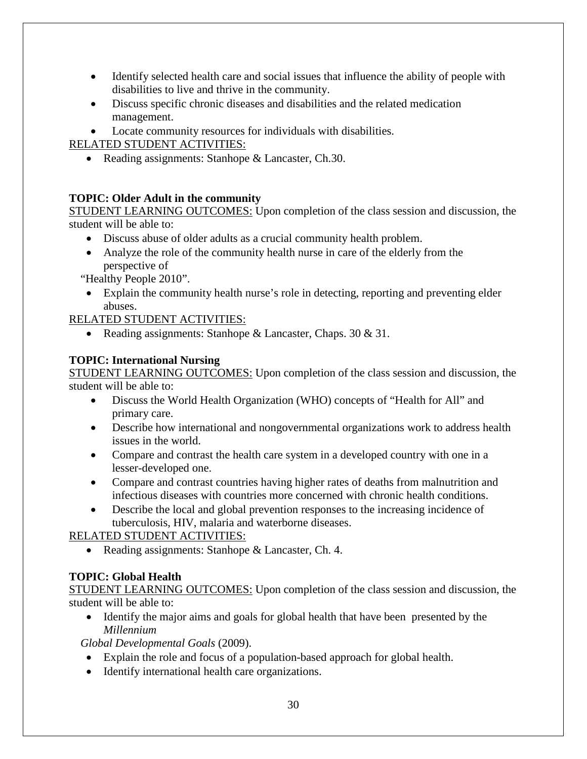- Identify selected health care and social issues that influence the ability of people with disabilities to live and thrive in the community.
- Discuss specific chronic diseases and disabilities and the related medication management.
- Locate community resources for individuals with disabilities.

RELATED STUDENT ACTIVITIES:

• Reading assignments: Stanhope & Lancaster, Ch.30.

# **TOPIC: Older Adult in the community**

STUDENT LEARNING OUTCOMES: Upon completion of the class session and discussion, the student will be able to:

- Discuss abuse of older adults as a crucial community health problem.
- Analyze the role of the community health nurse in care of the elderly from the perspective of

"Healthy People 2010".

• Explain the community health nurse's role in detecting, reporting and preventing elder abuses.

RELATED STUDENT ACTIVITIES:

• Reading assignments: Stanhope & Lancaster, Chaps. 30 & 31.

# **TOPIC: International Nursing**

STUDENT LEARNING OUTCOMES: Upon completion of the class session and discussion, the student will be able to:

- Discuss the World Health Organization (WHO) concepts of "Health for All" and primary care.
- Describe how international and nongovernmental organizations work to address health issues in the world.
- Compare and contrast the health care system in a developed country with one in a lesser-developed one.
- Compare and contrast countries having higher rates of deaths from malnutrition and infectious diseases with countries more concerned with chronic health conditions.
- Describe the local and global prevention responses to the increasing incidence of tuberculosis, HIV, malaria and waterborne diseases.

RELATED STUDENT ACTIVITIES:

• Reading assignments: Stanhope & Lancaster, Ch. 4.

# **TOPIC: Global Health**

STUDENT LEARNING OUTCOMES: Upon completion of the class session and discussion, the student will be able to:

• Identify the major aims and goals for global health that have been presented by the *Millennium* 

 *Global Developmental Goals* (2009).

- Explain the role and focus of a population-based approach for global health.
- Identify international health care organizations.